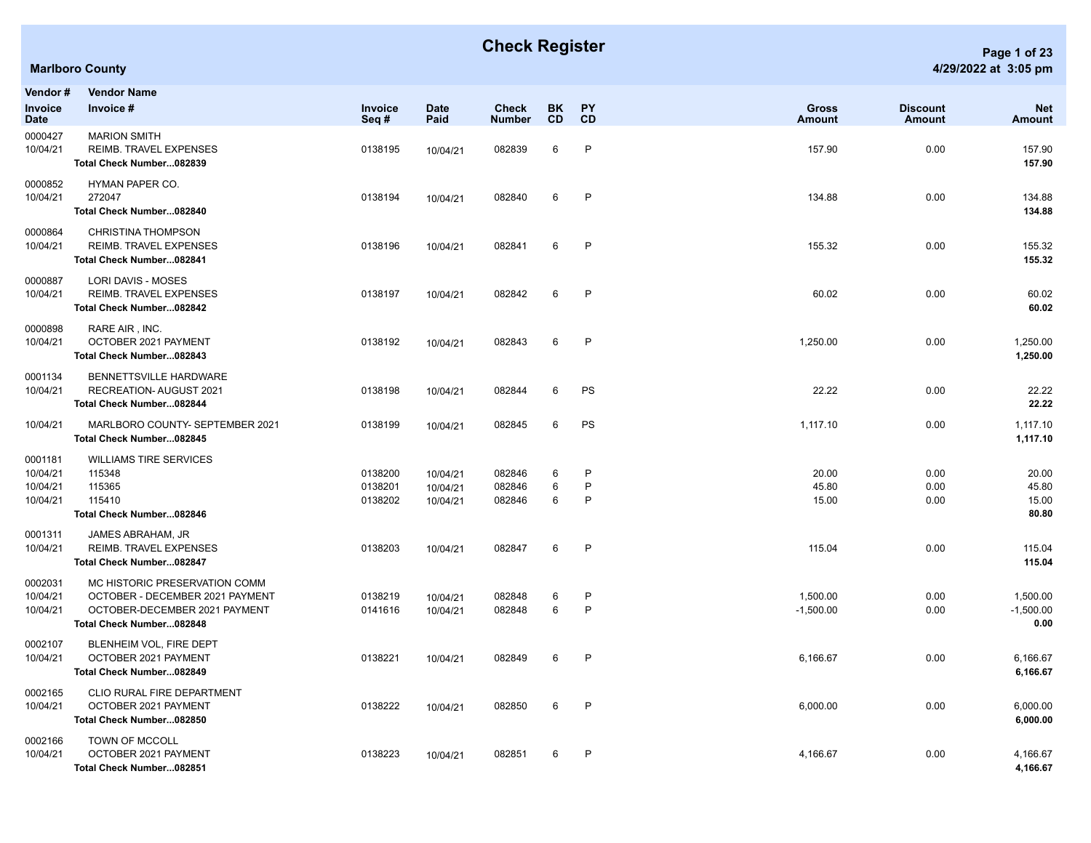## **Check Register Page 1 of 23**

| Vendor #<br>Invoice                         | <b>Vendor Name</b><br>Invoice #                                                                                               | Invoice                       | <b>Date</b>                      | Check                      | BK.<br>CD   | <b>PY</b><br><b>CD</b> | Gross                   | <b>Discount</b>      | <b>Net</b>                       |
|---------------------------------------------|-------------------------------------------------------------------------------------------------------------------------------|-------------------------------|----------------------------------|----------------------------|-------------|------------------------|-------------------------|----------------------|----------------------------------|
| Date<br>0000427                             | <b>MARION SMITH</b>                                                                                                           | Seq#                          | Paid                             | <b>Number</b>              |             |                        | <b>Amount</b>           | <b>Amount</b>        | Amount                           |
| 10/04/21                                    | <b>REIMB. TRAVEL EXPENSES</b><br>Total Check Number082839                                                                     | 0138195                       | 10/04/21                         | 082839                     | 6           | $\mathsf{P}$           | 157.90                  | 0.00                 | 157.90<br>157.90                 |
| 0000852<br>10/04/21                         | HYMAN PAPER CO.<br>272047<br>Total Check Number082840                                                                         | 0138194                       | 10/04/21                         | 082840                     | 6           | P                      | 134.88                  | 0.00                 | 134.88<br>134.88                 |
| 0000864<br>10/04/21                         | <b>CHRISTINA THOMPSON</b><br>REIMB. TRAVEL EXPENSES<br>Total Check Number082841                                               | 0138196                       | 10/04/21                         | 082841                     | 6           | P                      | 155.32                  | 0.00                 | 155.32<br>155.32                 |
| 0000887<br>10/04/21                         | <b>LORI DAVIS - MOSES</b><br>REIMB. TRAVEL EXPENSES<br>Total Check Number082842                                               | 0138197                       | 10/04/21                         | 082842                     | 6           | $\mathsf{P}$           | 60.02                   | 0.00                 | 60.02<br>60.02                   |
| 0000898<br>10/04/21                         | RARE AIR, INC.<br>OCTOBER 2021 PAYMENT<br>Total Check Number082843                                                            | 0138192                       | 10/04/21                         | 082843                     | 6           | $\mathsf{P}$           | 1,250.00                | 0.00                 | 1,250.00<br>1,250.00             |
| 0001134<br>10/04/21                         | BENNETTSVILLE HARDWARE<br>RECREATION- AUGUST 2021<br>Total Check Number082844                                                 | 0138198                       | 10/04/21                         | 082844                     | 6           | PS                     | 22.22                   | 0.00                 | 22.22<br>22.22                   |
| 10/04/21                                    | MARLBORO COUNTY- SEPTEMBER 2021<br>Total Check Number082845                                                                   | 0138199                       | 10/04/21                         | 082845                     | 6           | PS                     | 1,117.10                | 0.00                 | 1,117.10<br>1,117.10             |
| 0001181<br>10/04/21<br>10/04/21<br>10/04/21 | <b>WILLIAMS TIRE SERVICES</b><br>115348<br>115365<br>115410<br>Total Check Number082846                                       | 0138200<br>0138201<br>0138202 | 10/04/21<br>10/04/21<br>10/04/21 | 082846<br>082846<br>082846 | 6<br>6<br>6 | P<br>$\mathsf{P}$<br>P | 20.00<br>45.80<br>15.00 | 0.00<br>0.00<br>0.00 | 20.00<br>45.80<br>15.00<br>80.80 |
| 0001311<br>10/04/21                         | JAMES ABRAHAM, JR<br><b>REIMB. TRAVEL EXPENSES</b><br>Total Check Number082847                                                | 0138203                       | 10/04/21                         | 082847                     | 6           | P                      | 115.04                  | 0.00                 | 115.04<br>115.04                 |
| 0002031<br>10/04/21<br>10/04/21             | MC HISTORIC PRESERVATION COMM<br>OCTOBER - DECEMBER 2021 PAYMENT<br>OCTOBER-DECEMBER 2021 PAYMENT<br>Total Check Number082848 | 0138219<br>0141616            | 10/04/21<br>10/04/21             | 082848<br>082848           | 6<br>6      | P<br>P                 | 1,500.00<br>$-1,500.00$ | 0.00<br>0.00         | 1,500.00<br>$-1,500.00$<br>0.00  |
| 0002107<br>10/04/21                         | BLENHEIM VOL, FIRE DEPT<br>OCTOBER 2021 PAYMENT<br>Total Check Number082849                                                   | 0138221                       | 10/04/21                         | 082849                     | 6           | P                      | 6,166.67                | 0.00                 | 6,166.67<br>6,166.67             |
| 0002165<br>10/04/21                         | CLIO RURAL FIRE DEPARTMENT<br>OCTOBER 2021 PAYMENT<br>Total Check Number082850                                                | 0138222                       | 10/04/21                         | 082850                     | 6           | P                      | 6,000.00                | 0.00                 | 6,000.00<br>6,000.00             |
| 0002166<br>10/04/21                         | TOWN OF MCCOLL<br>OCTOBER 2021 PAYMENT<br>Total Check Number082851                                                            | 0138223                       | 10/04/21                         | 082851                     | 6           | P                      | 4,166.67                | 0.00                 | 4,166.67<br>4,166.67             |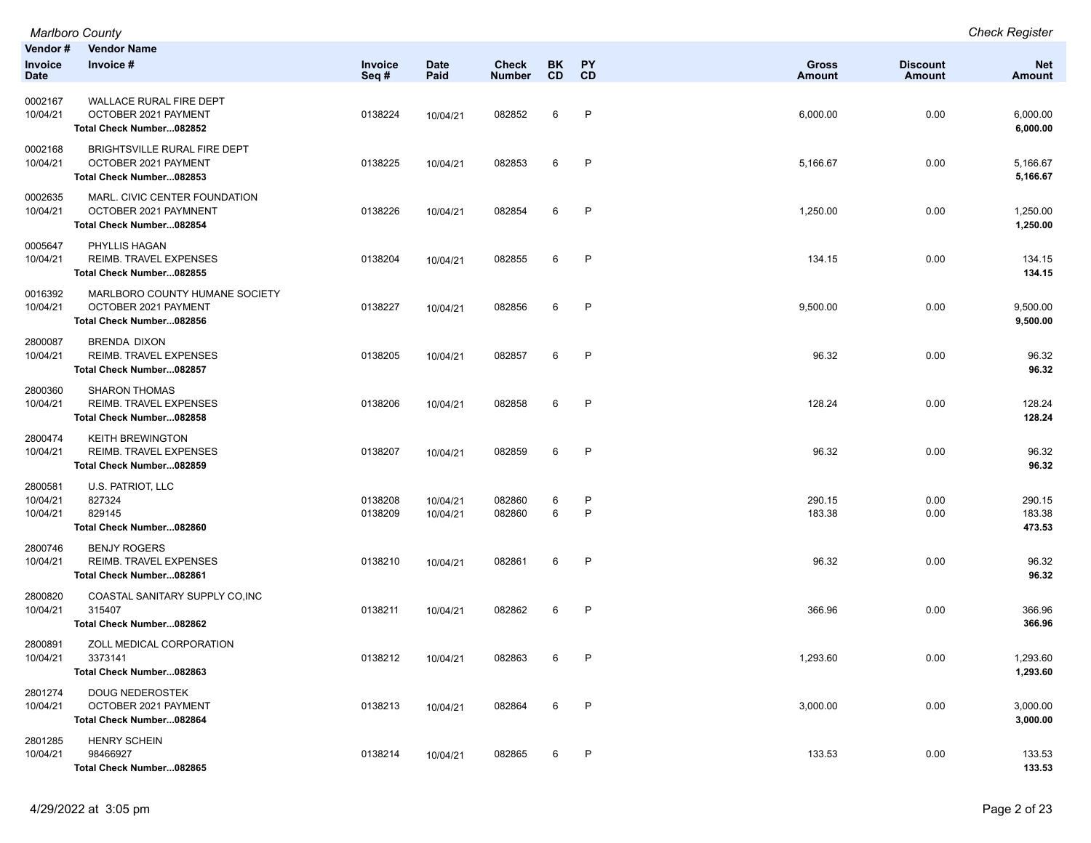|                                 | Marlboro County                                                                    |                    |                      |                               |                  |                        |                        |                                  | <b>Check Register</b>       |
|---------------------------------|------------------------------------------------------------------------------------|--------------------|----------------------|-------------------------------|------------------|------------------------|------------------------|----------------------------------|-----------------------------|
| Vendor #<br>Invoice<br>Date     | <b>Vendor Name</b><br>Invoice #                                                    | Invoice<br>Seq#    | <b>Date</b><br>Paid  | <b>Check</b><br><b>Number</b> | BK.<br><b>CD</b> | <b>PY</b><br><b>CD</b> | Gross<br><b>Amount</b> | <b>Discount</b><br><b>Amount</b> | <b>Net</b><br><b>Amount</b> |
| 0002167<br>10/04/21             | WALLACE RURAL FIRE DEPT<br>OCTOBER 2021 PAYMENT<br>Total Check Number082852        | 0138224            | 10/04/21             | 082852                        | 6                | P                      | 6,000.00               | 0.00                             | 6,000.00<br>6,000.00        |
| 0002168<br>10/04/21             | BRIGHTSVILLE RURAL FIRE DEPT<br>OCTOBER 2021 PAYMENT<br>Total Check Number082853   | 0138225            | 10/04/21             | 082853                        | 6                | P                      | 5,166.67               | 0.00                             | 5,166.67<br>5,166.67        |
| 0002635<br>10/04/21             | MARL. CIVIC CENTER FOUNDATION<br>OCTOBER 2021 PAYMNENT<br>Total Check Number082854 | 0138226            | 10/04/21             | 082854                        | 6                | P                      | 1,250.00               | 0.00                             | 1,250.00<br>1,250.00        |
| 0005647<br>10/04/21             | PHYLLIS HAGAN<br>REIMB. TRAVEL EXPENSES<br>Total Check Number082855                | 0138204            | 10/04/21             | 082855                        | 6                | P                      | 134.15                 | 0.00                             | 134.15<br>134.15            |
| 0016392<br>10/04/21             | MARLBORO COUNTY HUMANE SOCIETY<br>OCTOBER 2021 PAYMENT<br>Total Check Number082856 | 0138227            | 10/04/21             | 082856                        | 6                | P                      | 9,500.00               | 0.00                             | 9,500.00<br>9,500.00        |
| 2800087<br>10/04/21             | <b>BRENDA DIXON</b><br><b>REIMB. TRAVEL EXPENSES</b><br>Total Check Number082857   | 0138205            | 10/04/21             | 082857                        | 6                | P                      | 96.32                  | 0.00                             | 96.32<br>96.32              |
| 2800360<br>10/04/21             | <b>SHARON THOMAS</b><br>REIMB. TRAVEL EXPENSES<br>Total Check Number082858         | 0138206            | 10/04/21             | 082858                        | 6                | P                      | 128.24                 | 0.00                             | 128.24<br>128.24            |
| 2800474<br>10/04/21             | <b>KEITH BREWINGTON</b><br>REIMB. TRAVEL EXPENSES<br>Total Check Number082859      | 0138207            | 10/04/21             | 082859                        | 6                | P                      | 96.32                  | 0.00                             | 96.32<br>96.32              |
| 2800581<br>10/04/21<br>10/04/21 | U.S. PATRIOT, LLC<br>827324<br>829145<br>Total Check Number082860                  | 0138208<br>0138209 | 10/04/21<br>10/04/21 | 082860<br>082860              | 6<br>6           | P<br>$\mathsf{P}$      | 290.15<br>183.38       | 0.00<br>0.00                     | 290.15<br>183.38<br>473.53  |
| 2800746<br>10/04/21             | <b>BENJY ROGERS</b><br><b>REIMB. TRAVEL EXPENSES</b><br>Total Check Number082861   | 0138210            | 10/04/21             | 082861                        | 6                | P                      | 96.32                  | 0.00                             | 96.32<br>96.32              |
| 2800820<br>10/04/21             | COASTAL SANITARY SUPPLY CO, INC<br>315407<br>Total Check Number082862              | 0138211            | 10/04/21             | 082862                        | 6                | P                      | 366.96                 | 0.00                             | 366.96<br>366.96            |
| 2800891<br>10/04/21             | ZOLL MEDICAL CORPORATION<br>3373141<br>Total Check Number082863                    | 0138212            | 10/04/21             | 082863                        | 6                | P                      | 1,293.60               | 0.00                             | 1,293.60<br>1,293.60        |
| 2801274<br>10/04/21             | <b>DOUG NEDEROSTEK</b><br>OCTOBER 2021 PAYMENT<br>Total Check Number082864         | 0138213            | 10/04/21             | 082864                        | 6                | P                      | 3,000.00               | 0.00                             | 3,000.00<br>3,000.00        |
| 2801285<br>10/04/21             | <b>HENRY SCHEIN</b><br>98466927<br>Total Check Number082865                        | 0138214            | 10/04/21             | 082865                        | 6                | P                      | 133.53                 | 0.00                             | 133.53<br>133.53            |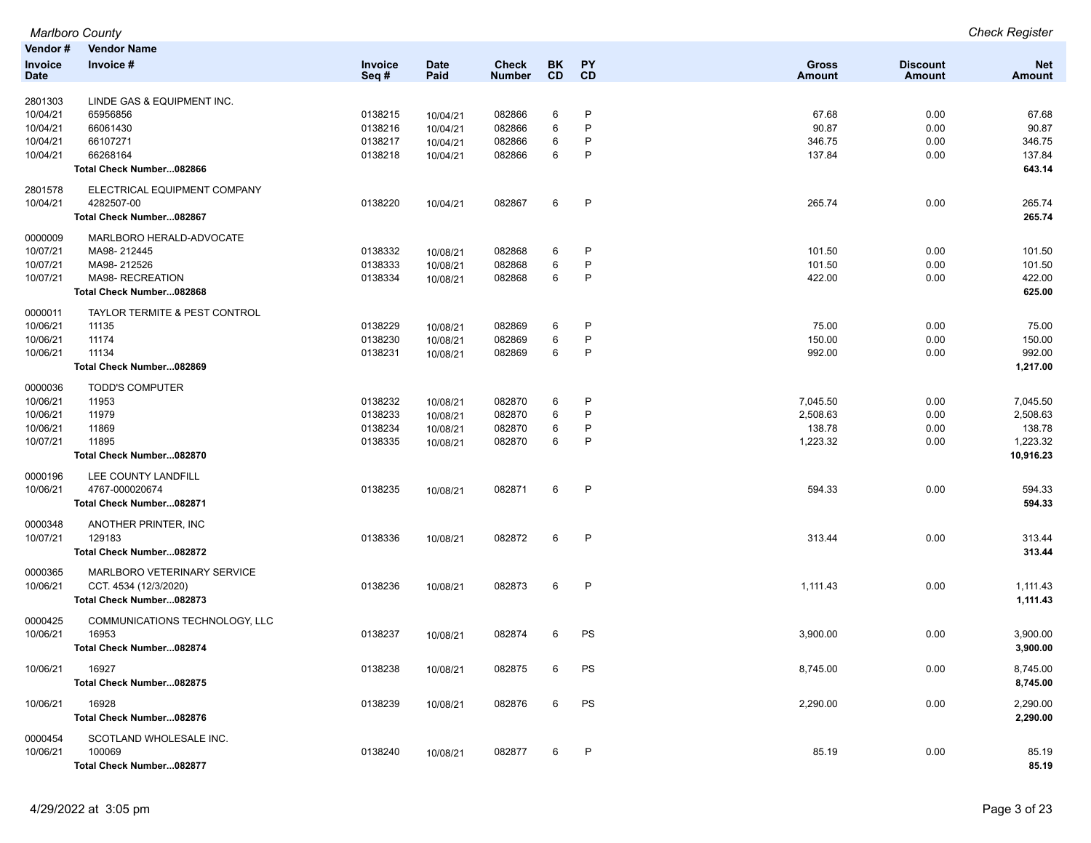|             | <b>Marlboro County</b>         |         |             |               |           |              |               |                 | <b>Check Register</b> |
|-------------|--------------------------------|---------|-------------|---------------|-----------|--------------|---------------|-----------------|-----------------------|
| Vendor#     | <b>Vendor Name</b>             |         |             |               |           |              |               |                 |                       |
| Invoice     | Invoice #                      | Invoice | <b>Date</b> | <b>Check</b>  | <b>BK</b> | <b>PY</b>    | <b>Gross</b>  | <b>Discount</b> | <b>Net</b>            |
| <b>Date</b> |                                | Seq#    | Paid        | <b>Number</b> | <b>CD</b> | <b>CD</b>    | <b>Amount</b> | Amount          | <b>Amount</b>         |
| 2801303     | LINDE GAS & EQUIPMENT INC.     |         |             |               |           |              |               |                 |                       |
| 10/04/21    | 65956856                       | 0138215 | 10/04/21    | 082866        | 6         | $\mathsf{P}$ | 67.68         | 0.00            | 67.68                 |
| 10/04/21    | 66061430                       | 0138216 | 10/04/21    | 082866        | 6         | P            | 90.87         | 0.00            | 90.87                 |
| 10/04/21    | 66107271                       | 0138217 | 10/04/21    | 082866        | 6         | P            | 346.75        | 0.00            | 346.75                |
| 10/04/21    | 66268164                       | 0138218 |             | 082866        | 6         | P            | 137.84        | 0.00            | 137.84                |
|             | Total Check Number082866       |         | 10/04/21    |               |           |              |               |                 | 643.14                |
|             |                                |         |             |               |           |              |               |                 |                       |
| 2801578     | ELECTRICAL EQUIPMENT COMPANY   |         |             |               |           |              |               |                 |                       |
| 10/04/21    | 4282507-00                     | 0138220 | 10/04/21    | 082867        | 6         | $\mathsf{P}$ | 265.74        | 0.00            | 265.74                |
|             | Total Check Number082867       |         |             |               |           |              |               |                 | 265.74                |
| 0000009     | MARLBORO HERALD-ADVOCATE       |         |             |               |           |              |               |                 |                       |
| 10/07/21    | MA98-212445                    | 0138332 | 10/08/21    | 082868        | 6         | $\mathsf{P}$ | 101.50        | 0.00            | 101.50                |
| 10/07/21    | MA98-212526                    | 0138333 | 10/08/21    | 082868        | 6         | $\mathsf{P}$ | 101.50        | 0.00            | 101.50                |
| 10/07/21    | MA98- RECREATION               | 0138334 | 10/08/21    | 082868        | 6         | $\mathsf{P}$ | 422.00        | 0.00            | 422.00                |
|             | Total Check Number082868       |         |             |               |           |              |               |                 | 625.00                |
|             |                                |         |             |               |           |              |               |                 |                       |
| 0000011     | TAYLOR TERMITE & PEST CONTROL  |         |             |               |           |              |               |                 |                       |
| 10/06/21    | 11135                          | 0138229 | 10/08/21    | 082869        | 6         | $\mathsf{P}$ | 75.00         | 0.00            | 75.00                 |
| 10/06/21    | 11174                          | 0138230 | 10/08/21    | 082869        | 6         | $\mathsf{P}$ | 150.00        | 0.00            | 150.00                |
| 10/06/21    | 11134                          | 0138231 | 10/08/21    | 082869        | 6         | $\mathsf{P}$ | 992.00        | 0.00            | 992.00                |
|             | Total Check Number082869       |         |             |               |           |              |               |                 | 1,217.00              |
| 0000036     | <b>TODD'S COMPUTER</b>         |         |             |               |           |              |               |                 |                       |
| 10/06/21    | 11953                          | 0138232 | 10/08/21    | 082870        | 6         | P            | 7,045.50      | 0.00            | 7,045.50              |
| 10/06/21    | 11979                          | 0138233 | 10/08/21    | 082870        | 6         | $\mathsf{P}$ | 2,508.63      | 0.00            | 2,508.63              |
| 10/06/21    | 11869                          | 0138234 | 10/08/21    | 082870        | 6         | $\mathsf{P}$ | 138.78        | 0.00            | 138.78                |
| 10/07/21    | 11895                          | 0138335 | 10/08/21    | 082870        | 6         | $\mathsf{P}$ | 1,223.32      | 0.00            | 1,223.32              |
|             | Total Check Number082870       |         |             |               |           |              |               |                 | 10,916.23             |
| 0000196     | LEE COUNTY LANDFILL            |         |             |               |           |              |               |                 |                       |
| 10/06/21    | 4767-000020674                 | 0138235 | 10/08/21    | 082871        | 6         | $\mathsf{P}$ | 594.33        | 0.00            | 594.33                |
|             | Total Check Number082871       |         |             |               |           |              |               |                 | 594.33                |
|             |                                |         |             |               |           |              |               |                 |                       |
| 0000348     | ANOTHER PRINTER, INC           |         |             |               |           |              |               |                 |                       |
| 10/07/21    | 129183                         | 0138336 | 10/08/21    | 082872        | 6         | $\mathsf{P}$ | 313.44        | 0.00            | 313.44                |
|             | Total Check Number082872       |         |             |               |           |              |               |                 | 313.44                |
| 0000365     | MARLBORO VETERINARY SERVICE    |         |             |               |           |              |               |                 |                       |
| 10/06/21    | CCT. 4534 (12/3/2020)          | 0138236 | 10/08/21    | 082873        | 6         | $\mathsf{P}$ | 1,111.43      | 0.00            | 1,111.43              |
|             | Total Check Number082873       |         |             |               |           |              |               |                 | 1,111.43              |
| 0000425     | COMMUNICATIONS TECHNOLOGY, LLC |         |             |               |           |              |               |                 |                       |
|             | 16953                          |         |             |               |           |              |               |                 |                       |
| 10/06/21    |                                | 0138237 | 10/08/21    | 082874        | 6         | PS           | 3,900.00      | 0.00            | 3,900.00              |
|             | Total Check Number082874       |         |             |               |           |              |               |                 | 3,900.00              |
| 10/06/21    | 16927                          | 0138238 | 10/08/21    | 082875        | 6         | PS           | 8,745.00      | 0.00            | 8,745.00              |
|             | Total Check Number082875       |         |             |               |           |              |               |                 | 8,745.00              |
| 10/06/21    | 16928                          | 0138239 | 10/08/21    | 082876        | 6         | PS           | 2,290.00      | 0.00            | 2,290.00              |
|             | Total Check Number082876       |         |             |               |           |              |               |                 | 2,290.00              |
|             |                                |         |             |               |           |              |               |                 |                       |
| 0000454     | SCOTLAND WHOLESALE INC.        |         |             |               |           |              |               |                 |                       |
| 10/06/21    | 100069                         | 0138240 | 10/08/21    | 082877        | 6         | P            | 85.19         | 0.00            | 85.19                 |
|             | Total Check Number082877       |         |             |               |           |              |               |                 | 85.19                 |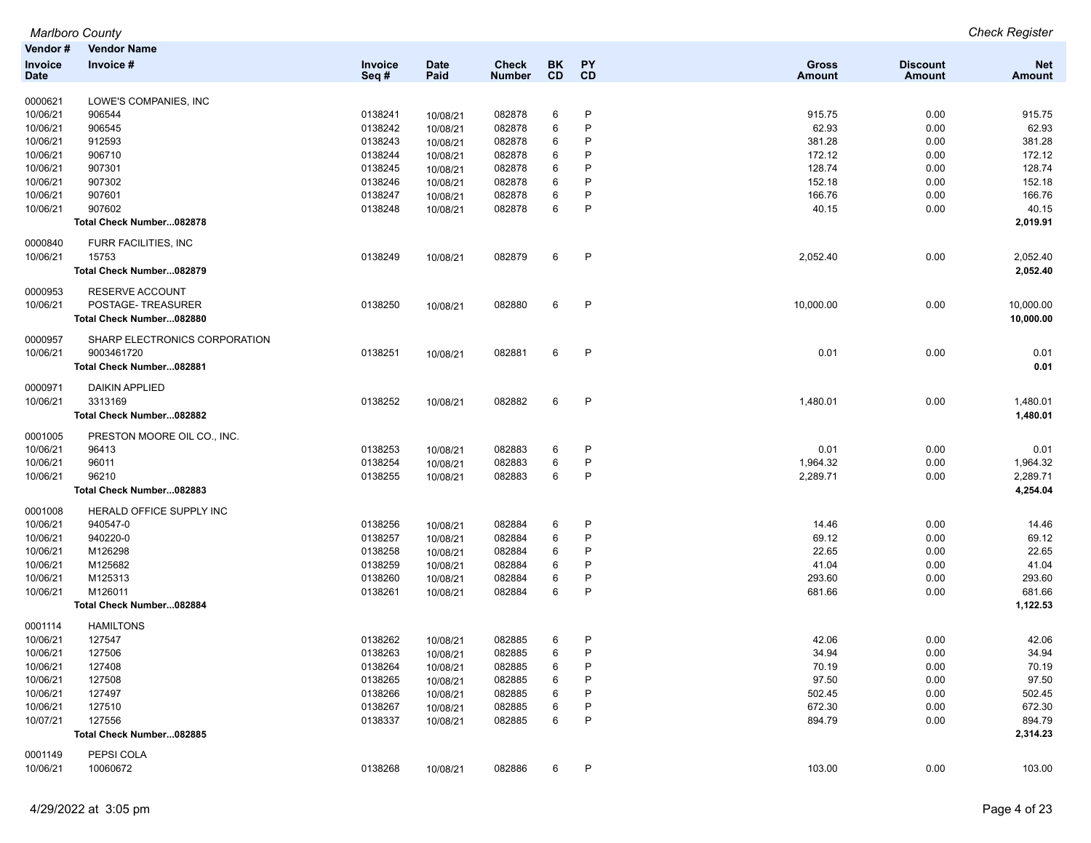|                     | <b>Marlboro County</b>        |         |             |               |           |              |               |                 | <b>Check Register</b> |
|---------------------|-------------------------------|---------|-------------|---------------|-----------|--------------|---------------|-----------------|-----------------------|
| Vendor#             | <b>Vendor Name</b>            |         |             |               |           |              |               |                 |                       |
| <b>Invoice</b>      | Invoice #                     | Invoice | <b>Date</b> | <b>Check</b>  | BK        | <b>PY</b>    | Gross         | <b>Discount</b> | <b>Net</b>            |
| <b>Date</b>         |                               | Seq#    | Paid        | <b>Number</b> | <b>CD</b> | CD           | <b>Amount</b> | <b>Amount</b>   | <b>Amount</b>         |
| 0000621             | LOWE'S COMPANIES, INC         |         |             |               |           |              |               |                 |                       |
| 10/06/21            | 906544                        | 0138241 | 10/08/21    | 082878        | 6         | $\mathsf{P}$ | 915.75        | 0.00            | 915.75                |
| 10/06/21            | 906545                        | 0138242 | 10/08/21    | 082878        | 6         | P            | 62.93         | 0.00            | 62.93                 |
| 10/06/21            | 912593                        | 0138243 | 10/08/21    | 082878        | 6         | P            | 381.28        | 0.00            | 381.28                |
| 10/06/21            | 906710                        | 0138244 | 10/08/21    | 082878        | 6         | P            | 172.12        | 0.00            | 172.12                |
| 10/06/21            | 907301                        | 0138245 | 10/08/21    | 082878        | 6         | P            | 128.74        | 0.00            | 128.74                |
| 10/06/21            | 907302                        | 0138246 | 10/08/21    | 082878        | 6         | P            | 152.18        | 0.00            | 152.18                |
| 10/06/21            | 907601                        | 0138247 | 10/08/21    | 082878        | 6         | $\mathsf{P}$ | 166.76        | 0.00            | 166.76                |
| 10/06/21            | 907602                        | 0138248 | 10/08/21    | 082878        | 6         | P            | 40.15         | 0.00            | 40.15                 |
|                     | Total Check Number082878      |         |             |               |           |              |               |                 | 2,019.91              |
|                     |                               |         |             |               |           |              |               |                 |                       |
| 0000840<br>10/06/21 | FURR FACILITIES, INC<br>15753 | 0138249 |             | 082879        | 6         | P            | 2,052.40      | 0.00            | 2,052.40              |
|                     |                               |         | 10/08/21    |               |           |              |               |                 |                       |
|                     | Total Check Number082879      |         |             |               |           |              |               |                 | 2,052.40              |
| 0000953             | RESERVE ACCOUNT               |         |             |               |           |              |               |                 |                       |
| 10/06/21            | POSTAGE-TREASURER             | 0138250 | 10/08/21    | 082880        | 6         | P            | 10,000.00     | 0.00            | 10,000.00             |
|                     | Total Check Number082880      |         |             |               |           |              |               |                 | 10,000.00             |
| 0000957             | SHARP ELECTRONICS CORPORATION |         |             |               |           |              |               |                 |                       |
| 10/06/21            | 9003461720                    | 0138251 | 10/08/21    | 082881        | 6         | $\mathsf{P}$ | 0.01          | 0.00            | 0.01                  |
|                     | Total Check Number082881      |         |             |               |           |              |               |                 | 0.01                  |
| 0000971             | <b>DAIKIN APPLIED</b>         |         |             |               |           |              |               |                 |                       |
| 10/06/21            | 3313169                       | 0138252 | 10/08/21    | 082882        | 6         | P            | 1,480.01      | 0.00            | 1,480.01              |
|                     | Total Check Number082882      |         |             |               |           |              |               |                 | 1,480.01              |
| 0001005             | PRESTON MOORE OIL CO., INC.   |         |             |               |           |              |               |                 |                       |
| 10/06/21            | 96413                         | 0138253 | 10/08/21    | 082883        | 6         | P            | 0.01          | 0.00            | 0.01                  |
| 10/06/21            | 96011                         | 0138254 | 10/08/21    | 082883        | 6         | P            | 1,964.32      | 0.00            | 1,964.32              |
| 10/06/21            | 96210                         | 0138255 | 10/08/21    | 082883        | 6         | $\mathsf{P}$ | 2,289.71      | 0.00            | 2,289.71              |
|                     | Total Check Number082883      |         |             |               |           |              |               |                 | 4,254.04              |
| 0001008             | HERALD OFFICE SUPPLY INC      |         |             |               |           |              |               |                 |                       |
| 10/06/21            | 940547-0                      | 0138256 | 10/08/21    | 082884        | 6         | $\mathsf{P}$ | 14.46         | 0.00            | 14.46                 |
| 10/06/21            | 940220-0                      | 0138257 | 10/08/21    | 082884        | 6         | P            | 69.12         | 0.00            | 69.12                 |
| 10/06/21            | M126298                       | 0138258 | 10/08/21    | 082884        | 6         | P            | 22.65         | 0.00            | 22.65                 |
| 10/06/21            | M125682                       | 0138259 | 10/08/21    | 082884        | 6         | P            | 41.04         | 0.00            | 41.04                 |
| 10/06/21            | M125313                       | 0138260 | 10/08/21    | 082884        | 6         | P            | 293.60        | 0.00            | 293.60                |
| 10/06/21            | M126011                       | 0138261 | 10/08/21    | 082884        | 6         | P            | 681.66        | 0.00            | 681.66                |
|                     | Total Check Number082884      |         |             |               |           |              |               |                 | 1,122.53              |
| 0001114             | <b>HAMILTONS</b>              |         |             |               |           |              |               |                 |                       |
| 10/06/21            | 127547                        | 0138262 | 10/08/21    | 082885        | 6         | P            | 42.06         | 0.00            | 42.06                 |
| 10/06/21            | 127506                        | 0138263 | 10/08/21    | 082885        | 6         | P            | 34.94         | 0.00            | 34.94                 |
| 10/06/21            | 127408                        | 0138264 | 10/08/21    | 082885        | 6         | P            | 70.19         | 0.00            | 70.19                 |
| 10/06/21            | 127508                        | 0138265 | 10/08/21    | 082885        | 6         | P            | 97.50         | 0.00            | 97.50                 |
| 10/06/21            | 127497                        | 0138266 | 10/08/21    | 082885        | 6         | P            | 502.45        | 0.00            | 502.45                |
| 10/06/21            | 127510                        | 0138267 | 10/08/21    | 082885        | 6         | P            | 672.30        | 0.00            | 672.30                |
| 10/07/21            | 127556                        | 0138337 | 10/08/21    | 082885        | 6         | P            | 894.79        | 0.00            | 894.79                |
|                     | Total Check Number082885      |         |             |               |           |              |               |                 | 2,314.23              |
| 0001149             | PEPSI COLA                    |         |             |               |           |              |               |                 |                       |
| 10/06/21            | 10060672                      | 0138268 | 10/08/21    | 082886        | 6         | P            | 103.00        | 0.00            | 103.00                |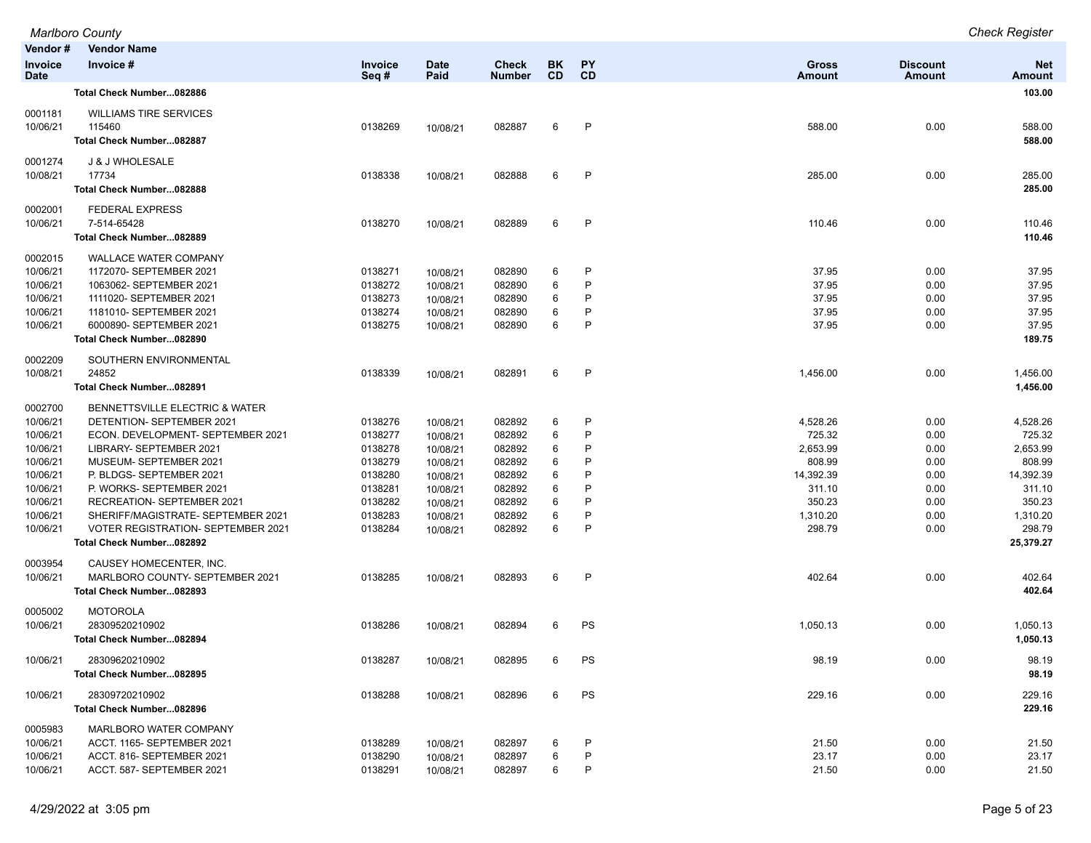| Vendor #                      | <b>Vendor Name</b>                                                              |                    |                     |                        |                 |              |                        |                           |                             |
|-------------------------------|---------------------------------------------------------------------------------|--------------------|---------------------|------------------------|-----------------|--------------|------------------------|---------------------------|-----------------------------|
| <b>Invoice</b><br><b>Date</b> | Invoice #                                                                       | Invoice<br>Seq#    | <b>Date</b><br>Paid | Check<br><b>Number</b> | BK<br><b>CD</b> | PΥ<br>CD     | <b>Gross</b><br>Amount | <b>Discount</b><br>Amount | <b>Net</b><br><b>Amount</b> |
|                               | Total Check Number082886                                                        |                    |                     |                        |                 |              |                        |                           | 103.00                      |
| 0001181                       | <b>WILLIAMS TIRE SERVICES</b>                                                   |                    |                     |                        |                 |              |                        |                           |                             |
| 10/06/21                      | 115460                                                                          | 0138269            | 10/08/21            | 082887                 | 6               | $\mathsf{P}$ | 588.00                 | 0.00                      | 588.00                      |
|                               | Total Check Number082887                                                        |                    |                     |                        |                 |              |                        |                           | 588.00                      |
| 0001274                       | J & J WHOLESALE                                                                 |                    |                     |                        |                 |              |                        |                           |                             |
| 10/08/21                      | 17734                                                                           | 0138338            | 10/08/21            | 082888                 | 6               | P            | 285.00                 | 0.00                      | 285.00                      |
|                               | Total Check Number082888                                                        |                    |                     |                        |                 |              |                        |                           | 285.00                      |
| 0002001                       | <b>FEDERAL EXPRESS</b>                                                          |                    |                     |                        |                 |              |                        |                           |                             |
| 10/06/21                      | 7-514-65428                                                                     | 0138270            | 10/08/21            | 082889                 | 6               | P            | 110.46                 | 0.00                      | 110.46                      |
|                               | Total Check Number082889                                                        |                    |                     |                        |                 |              |                        |                           | 110.46                      |
| 0002015                       | <b>WALLACE WATER COMPANY</b>                                                    |                    |                     |                        |                 |              |                        |                           |                             |
| 10/06/21                      | 1172070- SEPTEMBER 2021                                                         | 0138271            | 10/08/21            | 082890                 | 6               | P            | 37.95                  | 0.00                      | 37.95                       |
| 10/06/21                      | 1063062- SEPTEMBER 2021                                                         | 0138272            | 10/08/21            | 082890                 | 6               | P            | 37.95                  | 0.00                      | 37.95                       |
| 10/06/21                      | 1111020- SEPTEMBER 2021                                                         | 0138273            | 10/08/21            | 082890                 | 6               | P<br>P       | 37.95                  | 0.00                      | 37.95                       |
| 10/06/21                      | 1181010- SEPTEMBER 2021                                                         | 0138274            | 10/08/21            | 082890                 | 6<br>6          | P            | 37.95                  | 0.00                      | 37.95                       |
| 10/06/21                      | 6000890- SEPTEMBER 2021                                                         | 0138275            | 10/08/21            | 082890                 |                 |              | 37.95                  | 0.00                      | 37.95                       |
|                               | Total Check Number082890                                                        |                    |                     |                        |                 |              |                        |                           | 189.75                      |
| 0002209                       | SOUTHERN ENVIRONMENTAL                                                          |                    |                     |                        |                 |              |                        |                           |                             |
| 10/08/21                      | 24852                                                                           | 0138339            | 10/08/21            | 082891                 | 6               | P            | 1,456.00               | 0.00                      | 1,456.00                    |
|                               | Total Check Number082891                                                        |                    |                     |                        |                 |              |                        |                           | 1,456.00                    |
| 0002700                       | <b>BENNETTSVILLE ELECTRIC &amp; WATER</b>                                       |                    |                     |                        |                 |              |                        |                           |                             |
| 10/06/21                      | DETENTION- SEPTEMBER 2021                                                       | 0138276            | 10/08/21            | 082892                 | 6               | P            | 4,528.26               | 0.00                      | 4,528.26                    |
| 10/06/21                      | ECON. DEVELOPMENT- SEPTEMBER 2021                                               | 0138277            | 10/08/21            | 082892                 | 6               | P            | 725.32                 | 0.00                      | 725.32                      |
| 10/06/21                      | LIBRARY- SEPTEMBER 2021                                                         | 0138278            | 10/08/21            | 082892                 | 6               | P            | 2,653.99               | 0.00                      | 2,653.99                    |
| 10/06/21                      | MUSEUM- SEPTEMBER 2021                                                          | 0138279            | 10/08/21            | 082892                 | 6               | P            | 808.99                 | 0.00                      | 808.99                      |
| 10/06/21                      | P. BLDGS- SEPTEMBER 2021                                                        | 0138280            | 10/08/21            | 082892                 | 6               | P            | 14,392.39              | 0.00                      | 14,392.39                   |
| 10/06/21                      | P. WORKS- SEPTEMBER 2021                                                        | 0138281            | 10/08/21            | 082892                 | 6               | P            | 311.10                 | 0.00                      | 311.10                      |
| 10/06/21                      | RECREATION- SEPTEMBER 2021                                                      | 0138282            | 10/08/21            | 082892                 | 6               | P<br>P       | 350.23                 | 0.00                      | 350.23                      |
| 10/06/21<br>10/06/21          | SHERIFF/MAGISTRATE- SEPTEMBER 2021<br><b>VOTER REGISTRATION- SEPTEMBER 2021</b> | 0138283<br>0138284 | 10/08/21            | 082892<br>082892       | 6<br>6          | P            | 1,310.20<br>298.79     | 0.00<br>0.00              | 1,310.20<br>298.79          |
|                               | Total Check Number082892                                                        |                    | 10/08/21            |                        |                 |              |                        |                           | 25,379.27                   |
| 0003954                       | CAUSEY HOMECENTER, INC.                                                         |                    |                     |                        |                 |              |                        |                           |                             |
| 10/06/21                      | MARLBORO COUNTY- SEPTEMBER 2021                                                 | 0138285            | 10/08/21            | 082893                 | 6               | P            | 402.64                 | 0.00                      | 402.64                      |
|                               | Total Check Number082893                                                        |                    |                     |                        |                 |              |                        |                           | 402.64                      |
| 0005002                       | <b>MOTOROLA</b>                                                                 |                    |                     |                        |                 |              |                        |                           |                             |
| 10/06/21                      | 28309520210902                                                                  | 0138286            | 10/08/21            | 082894                 | 6               | PS           | 1,050.13               | 0.00                      | 1,050.13                    |
|                               | Total Check Number082894                                                        |                    |                     |                        |                 |              |                        |                           | 1,050.13                    |
|                               |                                                                                 |                    |                     |                        |                 |              |                        |                           |                             |
| 10/06/21                      | 28309620210902                                                                  | 0138287            | 10/08/21            | 082895                 | 6               | PS           | 98.19                  | 0.00                      | 98.19                       |
|                               | Total Check Number082895                                                        |                    |                     |                        |                 |              |                        |                           | 98.19                       |
| 10/06/21                      | 28309720210902                                                                  | 0138288            | 10/08/21            | 082896                 | 6               | PS           | 229.16                 | 0.00                      | 229.16                      |
|                               | Total Check Number082896                                                        |                    |                     |                        |                 |              |                        |                           | 229.16                      |
| 0005983                       | MARLBORO WATER COMPANY                                                          |                    |                     |                        |                 |              |                        |                           |                             |
| 10/06/21                      | ACCT. 1165- SEPTEMBER 2021                                                      | 0138289            | 10/08/21            | 082897                 | 6               | P            | 21.50                  | 0.00                      | 21.50                       |
| 10/06/21                      | ACCT. 816- SEPTEMBER 2021                                                       | 0138290            | 10/08/21            | 082897                 | 6               | P            | 23.17                  | 0.00                      | 23.17                       |
| 10/06/21                      | ACCT. 587- SEPTEMBER 2021                                                       | 0138291            | 10/08/21            | 082897                 | 6               | P            | 21.50                  | 0.00                      | 21.50                       |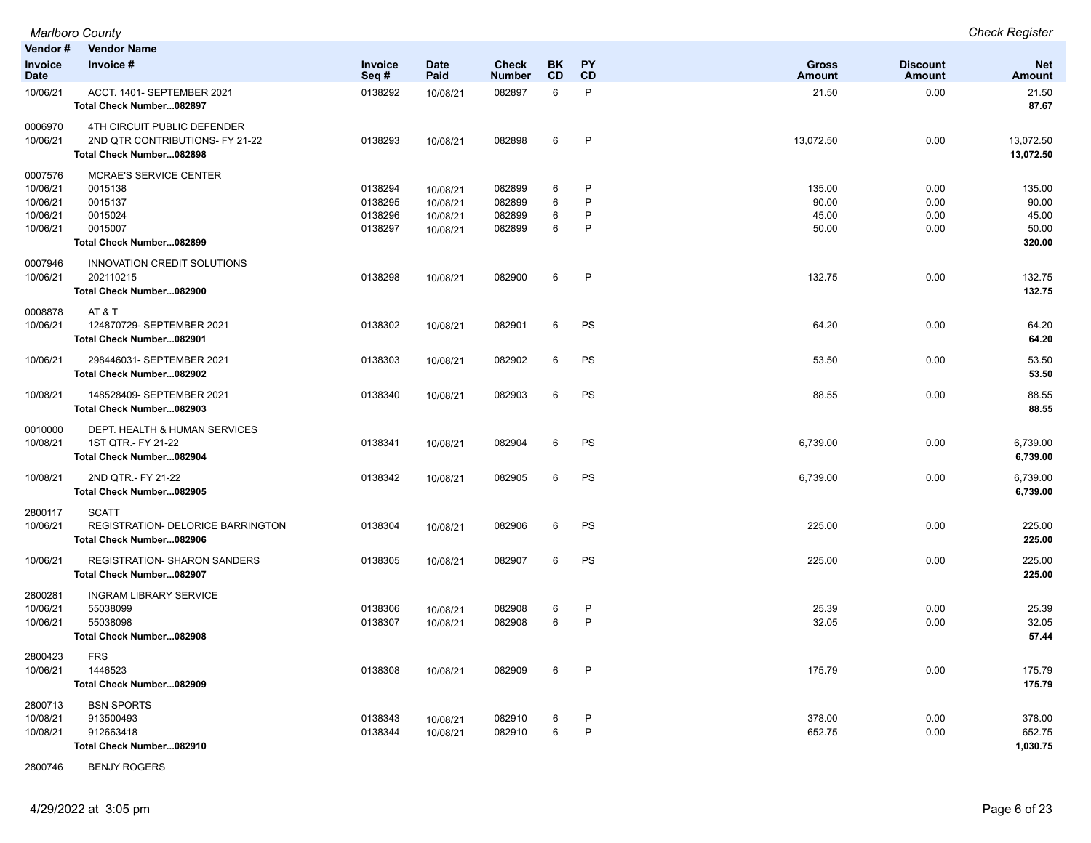| Vendor #<br>Invoice                                     | <b>Vendor Name</b><br>Invoice #                                                                       | Invoice                                  | <b>Date</b>                                  | Check                                | BK               | PY               | <b>Gross</b>                      | <b>Discount</b>              | <b>Net</b>                                  |
|---------------------------------------------------------|-------------------------------------------------------------------------------------------------------|------------------------------------------|----------------------------------------------|--------------------------------------|------------------|------------------|-----------------------------------|------------------------------|---------------------------------------------|
| Date                                                    |                                                                                                       | Seq#                                     | Paid                                         | <b>Number</b>                        | CD               | CD               | <b>Amount</b>                     | <b>Amount</b>                | <b>Amount</b>                               |
| 10/06/21                                                | ACCT. 1401- SEPTEMBER 2021<br>Total Check Number082897                                                | 0138292                                  | 10/08/21                                     | 082897                               | 6                | P                | 21.50                             | 0.00                         | 21.50<br>87.67                              |
| 0006970<br>10/06/21                                     | 4TH CIRCUIT PUBLIC DEFENDER<br>2ND QTR CONTRIBUTIONS- FY 21-22<br>Total Check Number082898            | 0138293                                  | 10/08/21                                     | 082898                               | 6                | P                | 13,072.50                         | 0.00                         | 13,072.50<br>13,072.50                      |
| 0007576<br>10/06/21<br>10/06/21<br>10/06/21<br>10/06/21 | <b>MCRAE'S SERVICE CENTER</b><br>0015138<br>0015137<br>0015024<br>0015007<br>Total Check Number082899 | 0138294<br>0138295<br>0138296<br>0138297 | 10/08/21<br>10/08/21<br>10/08/21<br>10/08/21 | 082899<br>082899<br>082899<br>082899 | 6<br>6<br>6<br>6 | P<br>P<br>P<br>P | 135.00<br>90.00<br>45.00<br>50.00 | 0.00<br>0.00<br>0.00<br>0.00 | 135.00<br>90.00<br>45.00<br>50.00<br>320.00 |
| 0007946<br>10/06/21                                     | <b>INNOVATION CREDIT SOLUTIONS</b><br>202110215<br>Total Check Number082900                           | 0138298                                  | 10/08/21                                     | 082900                               | 6                | $\mathsf{P}$     | 132.75                            | 0.00                         | 132.75<br>132.75                            |
| 0008878<br>10/06/21                                     | AT&T<br>124870729- SEPTEMBER 2021<br>Total Check Number082901                                         | 0138302                                  | 10/08/21                                     | 082901                               | 6                | PS               | 64.20                             | 0.00                         | 64.20<br>64.20                              |
| 10/06/21                                                | 298446031- SEPTEMBER 2021<br>Total Check Number082902                                                 | 0138303                                  | 10/08/21                                     | 082902                               | 6                | <b>PS</b>        | 53.50                             | 0.00                         | 53.50<br>53.50                              |
| 10/08/21                                                | 148528409- SEPTEMBER 2021<br>Total Check Number082903                                                 | 0138340                                  | 10/08/21                                     | 082903                               | 6                | PS               | 88.55                             | 0.00                         | 88.55<br>88.55                              |
| 0010000<br>10/08/21                                     | DEPT. HEALTH & HUMAN SERVICES<br>1ST QTR.- FY 21-22<br>Total Check Number082904                       | 0138341                                  | 10/08/21                                     | 082904                               | 6                | <b>PS</b>        | 6,739.00                          | 0.00                         | 6,739.00<br>6,739.00                        |
| 10/08/21                                                | 2ND QTR.- FY 21-22<br>Total Check Number082905                                                        | 0138342                                  | 10/08/21                                     | 082905                               | 6                | PS               | 6,739.00                          | 0.00                         | 6,739.00<br>6,739.00                        |
| 2800117<br>10/06/21                                     | <b>SCATT</b><br>REGISTRATION- DELORICE BARRINGTON<br>Total Check Number082906                         | 0138304                                  | 10/08/21                                     | 082906                               | 6                | <b>PS</b>        | 225.00                            | 0.00                         | 225.00<br>225.00                            |
| 10/06/21                                                | <b>REGISTRATION- SHARON SANDERS</b><br>Total Check Number082907                                       | 0138305                                  | 10/08/21                                     | 082907                               | 6                | PS               | 225.00                            | 0.00                         | 225.00<br>225.00                            |
| 2800281<br>10/06/21<br>10/06/21                         | <b>INGRAM LIBRARY SERVICE</b><br>55038099<br>55038098<br>Total Check Number082908                     | 0138306<br>0138307                       | 10/08/21<br>10/08/21                         | 082908<br>082908                     | 6<br>6           | P<br>P           | 25.39<br>32.05                    | 0.00<br>0.00                 | 25.39<br>32.05<br>57.44                     |
| 2800423<br>10/06/21                                     | <b>FRS</b><br>1446523<br>Total Check Number082909                                                     | 0138308                                  | 10/08/21                                     | 082909                               | 6                | P                | 175.79                            | 0.00                         | 175.79<br>175.79                            |
| 2800713<br>10/08/21<br>10/08/21                         | <b>BSN SPORTS</b><br>913500493<br>912663418<br>Total Check Number082910                               | 0138343<br>0138344                       | 10/08/21<br>10/08/21                         | 082910<br>082910                     | 6<br>6           | P<br>P           | 378.00<br>652.75                  | 0.00<br>0.00                 | 378.00<br>652.75<br>1,030.75                |

2800746 BENJY ROGERS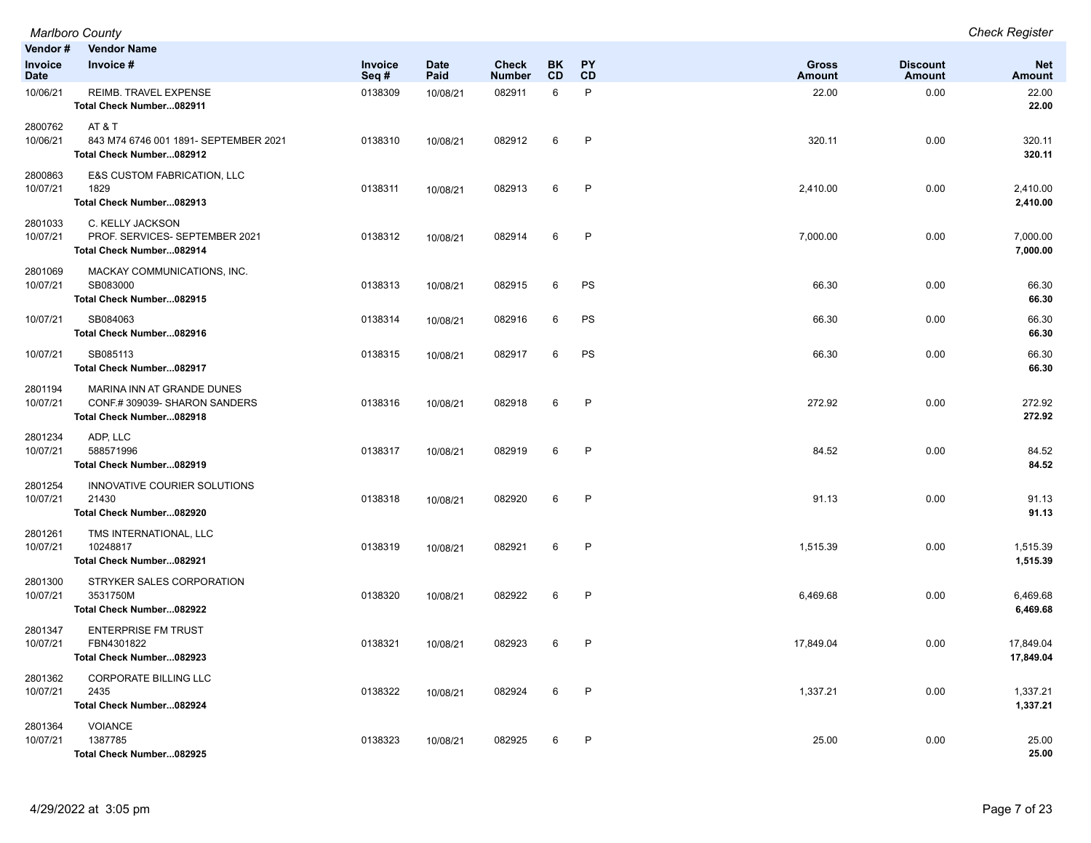|                               | <b>Marlboro County</b>                                                                  |                 |                     |                               |                 |                 |                               |                           | <b>Check Register</b>       |
|-------------------------------|-----------------------------------------------------------------------------------------|-----------------|---------------------|-------------------------------|-----------------|-----------------|-------------------------------|---------------------------|-----------------------------|
| Vendor#                       | <b>Vendor Name</b>                                                                      |                 |                     |                               |                 |                 |                               |                           |                             |
| <b>Invoice</b><br><b>Date</b> | Invoice #                                                                               | Invoice<br>Seq# | <b>Date</b><br>Paid | <b>Check</b><br><b>Number</b> | BK<br><b>CD</b> | <b>PY</b><br>CD | <b>Gross</b><br><b>Amount</b> | <b>Discount</b><br>Amount | <b>Net</b><br><b>Amount</b> |
| 10/06/21                      | REIMB. TRAVEL EXPENSE<br>Total Check Number082911                                       | 0138309         | 10/08/21            | 082911                        | 6               | $\mathsf{P}$    | 22.00                         | 0.00                      | 22.00<br>22.00              |
| 2800762<br>10/06/21           | AT&T<br>843 M74 6746 001 1891- SEPTEMBER 2021<br>Total Check Number082912               | 0138310         | 10/08/21            | 082912                        | 6               | $\mathsf{P}$    | 320.11                        | 0.00                      | 320.11<br>320.11            |
| 2800863<br>10/07/21           | E&S CUSTOM FABRICATION, LLC<br>1829<br>Total Check Number082913                         | 0138311         | 10/08/21            | 082913                        | 6               | $\mathsf{P}$    | 2,410.00                      | 0.00                      | 2,410.00<br>2,410.00        |
| 2801033<br>10/07/21           | C. KELLY JACKSON<br>PROF. SERVICES- SEPTEMBER 2021<br>Total Check Number082914          | 0138312         | 10/08/21            | 082914                        | 6               | P               | 7,000.00                      | 0.00                      | 7,000.00<br>7,000.00        |
| 2801069<br>10/07/21           | MACKAY COMMUNICATIONS, INC.<br>SB083000<br>Total Check Number082915                     | 0138313         | 10/08/21            | 082915                        | 6               | PS              | 66.30                         | 0.00                      | 66.30<br>66.30              |
| 10/07/21                      | SB084063<br>Total Check Number082916                                                    | 0138314         | 10/08/21            | 082916                        | 6               | PS              | 66.30                         | 0.00                      | 66.30<br>66.30              |
| 10/07/21                      | SB085113<br>Total Check Number082917                                                    | 0138315         | 10/08/21            | 082917                        | 6               | PS              | 66.30                         | 0.00                      | 66.30<br>66.30              |
| 2801194<br>10/07/21           | MARINA INN AT GRANDE DUNES<br>CONF.# 309039- SHARON SANDERS<br>Total Check Number082918 | 0138316         | 10/08/21            | 082918                        | 6               | $\mathsf{P}$    | 272.92                        | 0.00                      | 272.92<br>272.92            |
| 2801234<br>10/07/21           | ADP, LLC<br>588571996<br>Total Check Number082919                                       | 0138317         | 10/08/21            | 082919                        | 6               | P               | 84.52                         | 0.00                      | 84.52<br>84.52              |
| 2801254<br>10/07/21           | INNOVATIVE COURIER SOLUTIONS<br>21430<br>Total Check Number082920                       | 0138318         | 10/08/21            | 082920                        | 6               | $\mathsf{P}$    | 91.13                         | 0.00                      | 91.13<br>91.13              |
| 2801261<br>10/07/21           | TMS INTERNATIONAL, LLC<br>10248817<br>Total Check Number082921                          | 0138319         | 10/08/21            | 082921                        | 6               | $\mathsf{P}$    | 1,515.39                      | 0.00                      | 1,515.39<br>1,515.39        |
| 2801300<br>10/07/21           | STRYKER SALES CORPORATION<br>3531750M<br>Total Check Number082922                       | 0138320         | 10/08/21            | 082922                        | 6               | $\mathsf{P}$    | 6,469.68                      | 0.00                      | 6,469.68<br>6,469.68        |
| 2801347<br>10/07/21           | <b>ENTERPRISE FM TRUST</b><br>FBN4301822<br>Total Check Number082923                    | 0138321         | 10/08/21            | 082923                        | 6               | P               | 17,849.04                     | 0.00                      | 17,849.04<br>17,849.04      |
| 2801362<br>10/07/21           | <b>CORPORATE BILLING LLC</b><br>2435<br>Total Check Number082924                        | 0138322         | 10/08/21            | 082924                        | 6               | $\mathsf{P}$    | 1,337.21                      | 0.00                      | 1,337.21<br>1,337.21        |
| 2801364<br>10/07/21           | <b>VOIANCE</b><br>1387785<br>Total Check Number082925                                   | 0138323         | 10/08/21            | 082925                        | 6               | $\mathsf{P}$    | 25.00                         | 0.00                      | 25.00<br>25.00              |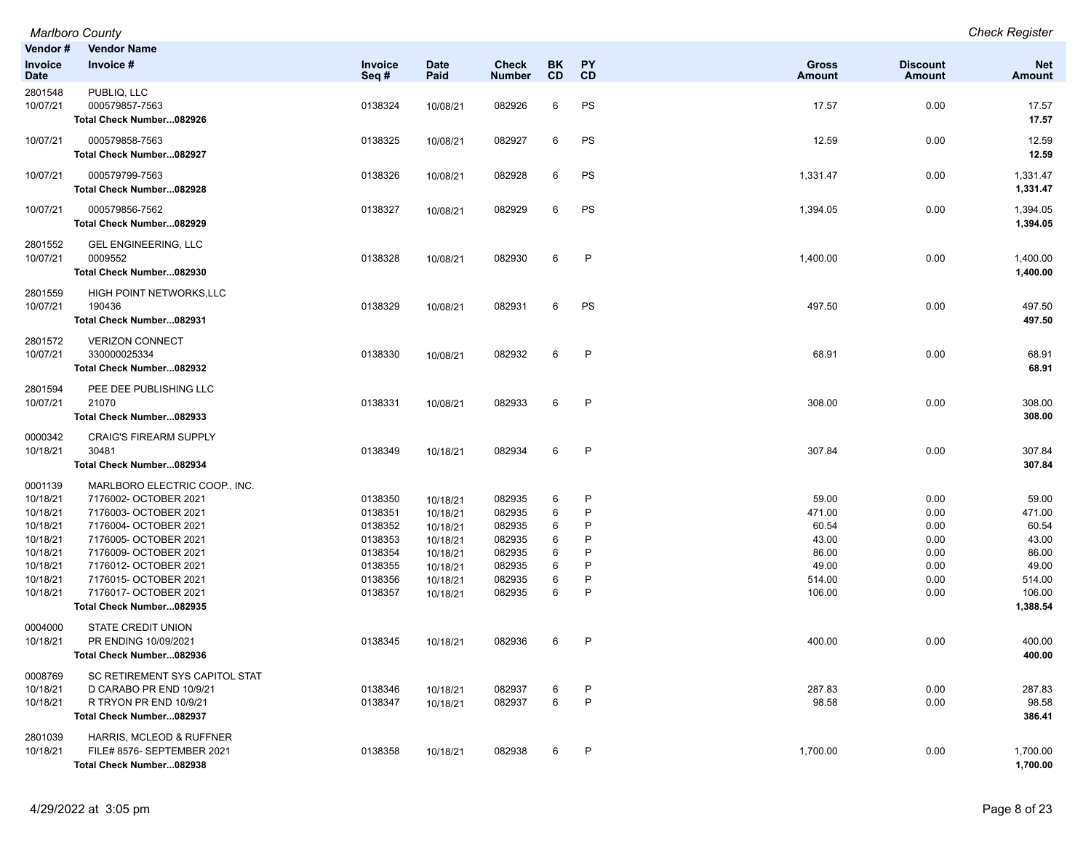| Vendor #                                                                                                                       | <b>Vendor Name</b>                                                                                                                                                                                                                                                                                              |                                                                                                 |                                                                                                          |                                                                                        |                                           |                                                                 |                                                                                   |                                                                      |                                                                                               |
|--------------------------------------------------------------------------------------------------------------------------------|-----------------------------------------------------------------------------------------------------------------------------------------------------------------------------------------------------------------------------------------------------------------------------------------------------------------|-------------------------------------------------------------------------------------------------|----------------------------------------------------------------------------------------------------------|----------------------------------------------------------------------------------------|-------------------------------------------|-----------------------------------------------------------------|-----------------------------------------------------------------------------------|----------------------------------------------------------------------|-----------------------------------------------------------------------------------------------|
| Invoice<br>Date                                                                                                                | Invoice #                                                                                                                                                                                                                                                                                                       | <b>Invoice</b><br>Seq#                                                                          | <b>Date</b><br>Paid                                                                                      | Check<br><b>Number</b>                                                                 | BK<br><b>CD</b>                           | PY<br><b>CD</b>                                                 | Gross<br>Amount                                                                   | <b>Discount</b><br><b>Amount</b>                                     | <b>Net</b><br>Amount                                                                          |
| 2801548<br>10/07/21                                                                                                            | PUBLIQ, LLC<br>000579857-7563<br>Total Check Number082926                                                                                                                                                                                                                                                       | 0138324                                                                                         | 10/08/21                                                                                                 | 082926                                                                                 | 6                                         | PS                                                              | 17.57                                                                             | 0.00                                                                 | 17.57<br>17.57                                                                                |
| 10/07/21                                                                                                                       | 000579858-7563<br>Total Check Number082927                                                                                                                                                                                                                                                                      | 0138325                                                                                         | 10/08/21                                                                                                 | 082927                                                                                 | 6                                         | PS                                                              | 12.59                                                                             | 0.00                                                                 | 12.59<br>12.59                                                                                |
| 10/07/21                                                                                                                       | 000579799-7563<br>Total Check Number082928                                                                                                                                                                                                                                                                      | 0138326                                                                                         | 10/08/21                                                                                                 | 082928                                                                                 | 6                                         | PS                                                              | 1,331.47                                                                          | 0.00                                                                 | 1,331.47<br>1,331.47                                                                          |
| 10/07/21                                                                                                                       | 000579856-7562<br>Total Check Number082929                                                                                                                                                                                                                                                                      | 0138327                                                                                         | 10/08/21                                                                                                 | 082929                                                                                 | 6                                         | PS                                                              | 1,394.05                                                                          | 0.00                                                                 | 1,394.05<br>1,394.05                                                                          |
| 2801552<br>10/07/21                                                                                                            | <b>GEL ENGINEERING, LLC</b><br>0009552<br>Total Check Number082930                                                                                                                                                                                                                                              | 0138328                                                                                         | 10/08/21                                                                                                 | 082930                                                                                 | 6                                         | P                                                               | 1,400.00                                                                          | 0.00                                                                 | 1,400.00<br>1,400.00                                                                          |
| 2801559<br>10/07/21                                                                                                            | HIGH POINT NETWORKS, LLC<br>190436<br>Total Check Number082931                                                                                                                                                                                                                                                  | 0138329                                                                                         | 10/08/21                                                                                                 | 082931                                                                                 | 6                                         | PS                                                              | 497.50                                                                            | 0.00                                                                 | 497.50<br>497.50                                                                              |
| 2801572<br>10/07/21                                                                                                            | <b>VERIZON CONNECT</b><br>330000025334<br>Total Check Number082932                                                                                                                                                                                                                                              | 0138330                                                                                         | 10/08/21                                                                                                 | 082932                                                                                 | 6                                         | P                                                               | 68.91                                                                             | 0.00                                                                 | 68.91<br>68.91                                                                                |
| 2801594<br>10/07/21                                                                                                            | PEE DEE PUBLISHING LLC<br>21070<br>Total Check Number082933                                                                                                                                                                                                                                                     | 0138331                                                                                         | 10/08/21                                                                                                 | 082933                                                                                 | 6                                         | $\mathsf{P}$                                                    | 308.00                                                                            | 0.00                                                                 | 308.00<br>308.00                                                                              |
| 0000342<br>10/18/21                                                                                                            | <b>CRAIG'S FIREARM SUPPLY</b><br>30481<br>Total Check Number082934                                                                                                                                                                                                                                              | 0138349                                                                                         | 10/18/21                                                                                                 | 082934                                                                                 | 6                                         | $\mathsf{P}$                                                    | 307.84                                                                            | 0.00                                                                 | 307.84<br>307.84                                                                              |
| 0001139<br>10/18/21<br>10/18/21<br>10/18/21<br>10/18/21<br>10/18/21<br>10/18/21<br>10/18/21<br>10/18/21<br>0004000<br>10/18/21 | MARLBORO ELECTRIC COOP., INC.<br>7176002- OCTOBER 2021<br>7176003- OCTOBER 2021<br>7176004- OCTOBER 2021<br>7176005- OCTOBER 2021<br>7176009- OCTOBER 2021<br>7176012- OCTOBER 2021<br>7176015- OCTOBER 2021<br>7176017- OCTOBER 2021<br>Total Check Number082935<br>STATE CREDIT UNION<br>PR ENDING 10/09/2021 | 0138350<br>0138351<br>0138352<br>0138353<br>0138354<br>0138355<br>0138356<br>0138357<br>0138345 | 10/18/21<br>10/18/21<br>10/18/21<br>10/18/21<br>10/18/21<br>10/18/21<br>10/18/21<br>10/18/21<br>10/18/21 | 082935<br>082935<br>082935<br>082935<br>082935<br>082935<br>082935<br>082935<br>082936 | 6<br>6<br>6<br>6<br>6<br>6<br>6<br>6<br>6 | P<br>P<br>P<br>P<br>P<br>P<br>P<br>$\mathsf{P}$<br>$\mathsf{P}$ | 59.00<br>471.00<br>60.54<br>43.00<br>86.00<br>49.00<br>514.00<br>106.00<br>400.00 | 0.00<br>0.00<br>0.00<br>0.00<br>0.00<br>0.00<br>0.00<br>0.00<br>0.00 | 59.00<br>471.00<br>60.54<br>43.00<br>86.00<br>49.00<br>514.00<br>106.00<br>1,388.54<br>400.00 |
| 0008769<br>10/18/21<br>10/18/21<br>2801039                                                                                     | Total Check Number082936<br>SC RETIREMENT SYS CAPITOL STAT<br>D CARABO PR END 10/9/21<br>R TRYON PR END 10/9/21<br>Total Check Number082937<br>HARRIS, MCLEOD & RUFFNER                                                                                                                                         | 0138346<br>0138347                                                                              | 10/18/21<br>10/18/21                                                                                     | 082937<br>082937                                                                       | 6<br>6                                    | P<br>$\mathsf{P}$                                               | 287.83<br>98.58                                                                   | 0.00<br>0.00                                                         | 400.00<br>287.83<br>98.58<br>386.41                                                           |
| 10/18/21                                                                                                                       | FILE# 8576- SEPTEMBER 2021<br>Total Check Number082938                                                                                                                                                                                                                                                          | 0138358                                                                                         | 10/18/21                                                                                                 | 082938                                                                                 | 6                                         | P                                                               | 1,700.00                                                                          | 0.00                                                                 | 1,700.00<br>1,700.00                                                                          |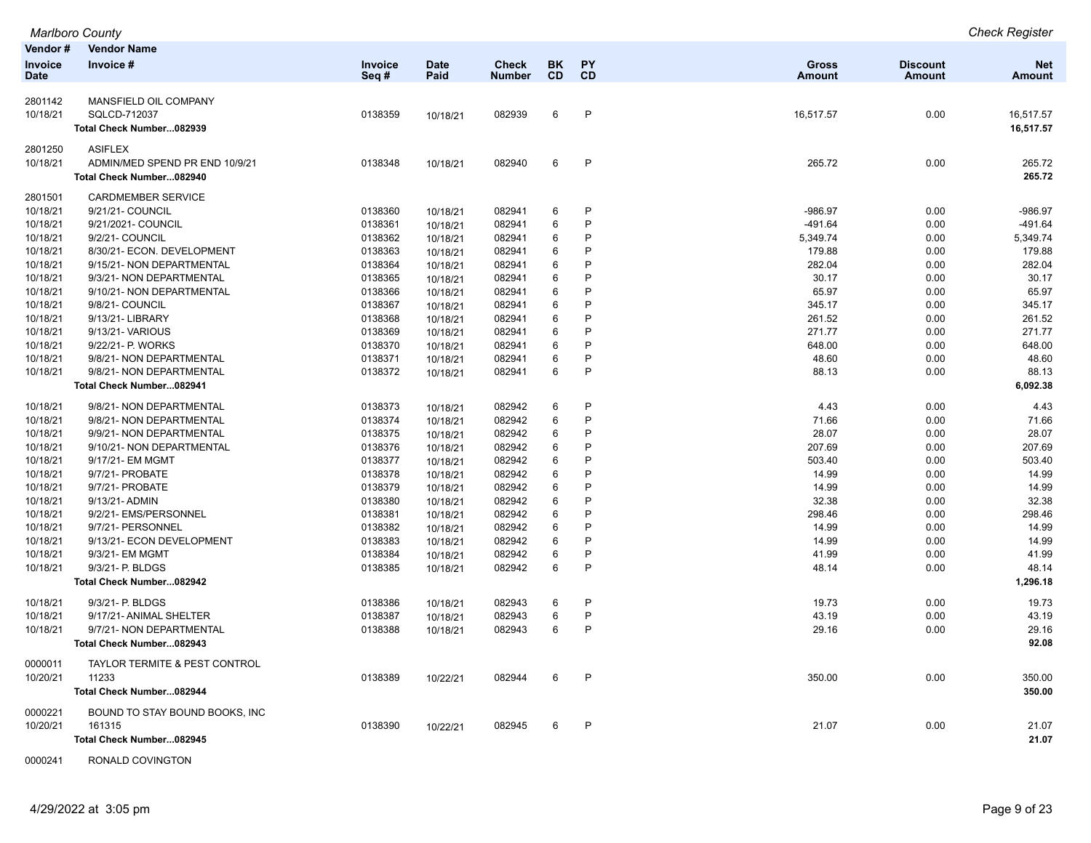|          | <b>Marlboro County</b>                   |         |             |              |           |           |           |                 | <b>Check Register</b> |
|----------|------------------------------------------|---------|-------------|--------------|-----------|-----------|-----------|-----------------|-----------------------|
| Vendor # | <b>Vendor Name</b>                       |         |             |              |           |           |           |                 |                       |
| Invoice  | Invoice #                                | Invoice | <b>Date</b> | <b>Check</b> | <b>BK</b> | PY        | Gross     | <b>Discount</b> | <b>Net</b>            |
| Date     |                                          | Seq#    | Paid        | Number       | <b>CD</b> | <b>CD</b> | Amount    | <b>Amount</b>   | <b>Amount</b>         |
| 2801142  | MANSFIELD OIL COMPANY                    |         |             |              |           |           |           |                 |                       |
| 10/18/21 | SQLCD-712037                             | 0138359 | 10/18/21    | 082939       | 6         | P         | 16,517.57 | 0.00            | 16,517.57             |
|          | Total Check Number082939                 |         |             |              |           |           |           |                 | 16,517.57             |
|          |                                          |         |             |              |           |           |           |                 |                       |
| 2801250  | <b>ASIFLEX</b>                           |         |             |              |           |           |           |                 |                       |
| 10/18/21 | ADMIN/MED SPEND PR END 10/9/21           | 0138348 | 10/18/21    | 082940       | 6         | P         | 265.72    | 0.00            | 265.72                |
|          | Total Check Number082940                 |         |             |              |           |           |           |                 | 265.72                |
| 2801501  | <b>CARDMEMBER SERVICE</b>                |         |             |              |           |           |           |                 |                       |
| 10/18/21 | 9/21/21- COUNCIL                         | 0138360 | 10/18/21    | 082941       | 6         | P         | -986.97   | 0.00            | -986.97               |
| 10/18/21 | 9/21/2021- COUNCIL                       | 0138361 | 10/18/21    | 082941       | 6         | P         | $-491.64$ | 0.00            | -491.64               |
| 10/18/21 | 9/2/21- COUNCIL                          | 0138362 | 10/18/21    | 082941       | 6         | P         | 5,349.74  | 0.00            | 5,349.74              |
| 10/18/21 | 8/30/21- ECON. DEVELOPMENT               | 0138363 | 10/18/21    | 082941       | 6         | P         | 179.88    | 0.00            | 179.88                |
| 10/18/21 | 9/15/21- NON DEPARTMENTAL                | 0138364 | 10/18/21    | 082941       | 6         | P         | 282.04    | 0.00            | 282.04                |
| 10/18/21 | 9/3/21- NON DEPARTMENTAL                 | 0138365 | 10/18/21    | 082941       | 6         | P         | 30.17     | 0.00            | 30.17                 |
| 10/18/21 | 9/10/21- NON DEPARTMENTAL                | 0138366 | 10/18/21    | 082941       | 6         | P         | 65.97     | 0.00            | 65.97                 |
| 10/18/21 | 9/8/21- COUNCIL                          | 0138367 | 10/18/21    | 082941       | 6         | P         | 345.17    | 0.00            | 345.17                |
| 10/18/21 | 9/13/21- LIBRARY                         | 0138368 | 10/18/21    | 082941       | 6         | P         | 261.52    | 0.00            | 261.52                |
| 10/18/21 | 9/13/21- VARIOUS                         | 0138369 | 10/18/21    | 082941       | 6         | P         | 271.77    | 0.00            | 271.77                |
| 10/18/21 | 9/22/21- P. WORKS                        | 0138370 | 10/18/21    | 082941       | 6         | P         | 648.00    | 0.00            | 648.00                |
| 10/18/21 | 9/8/21- NON DEPARTMENTAL                 | 0138371 | 10/18/21    | 082941       | 6         | P         | 48.60     | 0.00            | 48.60                 |
| 10/18/21 | 9/8/21- NON DEPARTMENTAL                 | 0138372 | 10/18/21    | 082941       | 6         | P         | 88.13     | 0.00            | 88.13                 |
|          | Total Check Number082941                 |         |             |              |           |           |           |                 | 6,092.38              |
| 10/18/21 | 9/8/21- NON DEPARTMENTAL                 | 0138373 | 10/18/21    | 082942       | 6         | P         | 4.43      | 0.00            | 4.43                  |
| 10/18/21 | 9/8/21- NON DEPARTMENTAL                 | 0138374 | 10/18/21    | 082942       | 6         | P         | 71.66     | 0.00            | 71.66                 |
| 10/18/21 | 9/9/21- NON DEPARTMENTAL                 | 0138375 | 10/18/21    | 082942       | 6         | P         | 28.07     | 0.00            | 28.07                 |
| 10/18/21 | 9/10/21- NON DEPARTMENTAL                | 0138376 | 10/18/21    | 082942       | 6         | P         | 207.69    | 0.00            | 207.69                |
| 10/18/21 | 9/17/21- EM MGMT                         | 0138377 | 10/18/21    | 082942       | 6         | P         | 503.40    | 0.00            | 503.40                |
| 10/18/21 | 9/7/21- PROBATE                          | 0138378 | 10/18/21    | 082942       | 6         | P         | 14.99     | 0.00            | 14.99                 |
| 10/18/21 | 9/7/21- PROBATE                          | 0138379 | 10/18/21    | 082942       | 6         | P         | 14.99     | 0.00            | 14.99                 |
| 10/18/21 | 9/13/21- ADMIN                           | 0138380 | 10/18/21    | 082942       | 6         | P         | 32.38     | 0.00            | 32.38                 |
| 10/18/21 | 9/2/21- EMS/PERSONNEL                    | 0138381 | 10/18/21    | 082942       | 6         | P         | 298.46    | 0.00            | 298.46                |
| 10/18/21 | 9/7/21- PERSONNEL                        | 0138382 | 10/18/21    | 082942       | 6         | P         | 14.99     | 0.00            | 14.99                 |
| 10/18/21 | 9/13/21- ECON DEVELOPMENT                | 0138383 | 10/18/21    | 082942       | 6         | P         | 14.99     | 0.00            | 14.99                 |
| 10/18/21 | 9/3/21- EM MGMT                          | 0138384 | 10/18/21    | 082942       | 6         | P         | 41.99     | 0.00            | 41.99                 |
| 10/18/21 | 9/3/21- P. BLDGS                         | 0138385 | 10/18/21    | 082942       | 6         | P         | 48.14     | 0.00            | 48.14                 |
|          | Total Check Number082942                 |         |             |              |           |           |           |                 | 1,296.18              |
|          |                                          |         |             |              |           |           |           |                 |                       |
| 10/18/21 | 9/3/21- P. BLDGS                         | 0138386 | 10/18/21    | 082943       | 6         | P         | 19.73     | 0.00            | 19.73                 |
| 10/18/21 | 9/17/21- ANIMAL SHELTER                  | 0138387 | 10/18/21    | 082943       | 6         | P         | 43.19     | 0.00            | 43.19                 |
| 10/18/21 | 9/7/21- NON DEPARTMENTAL                 | 0138388 | 10/18/21    | 082943       | 6         | P         | 29.16     | 0.00            | 29.16                 |
|          | Total Check Number082943                 |         |             |              |           |           |           |                 | 92.08                 |
| 0000011  | <b>TAYLOR TERMITE &amp; PEST CONTROL</b> |         |             |              |           |           |           |                 |                       |
| 10/20/21 | 11233                                    | 0138389 | 10/22/21    | 082944       | 6         | P         | 350.00    | 0.00            | 350.00                |
|          | Total Check Number082944                 |         |             |              |           |           |           |                 | 350.00                |
| 0000221  | BOUND TO STAY BOUND BOOKS, INC           |         |             |              |           |           |           |                 |                       |
| 10/20/21 | 161315                                   | 0138390 | 10/22/21    | 082945       | 6         | P         | 21.07     | 0.00            | 21.07                 |
|          | Total Check Number082945                 |         |             |              |           |           |           |                 | 21.07                 |
|          |                                          |         |             |              |           |           |           |                 |                       |

0000241 RONALD COVINGTON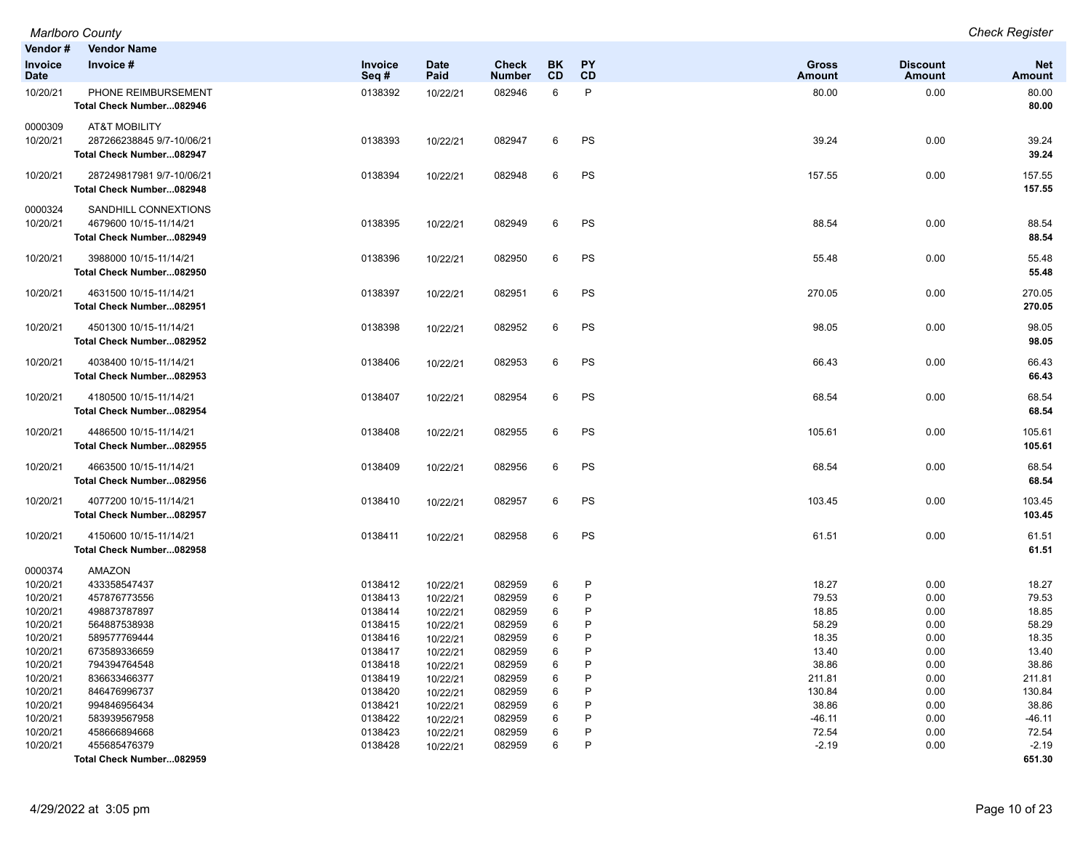| Vendor#                | <b>Vendor Name</b>                                                                |                    |                      |                               |                 |                 |                               |                           |                             |
|------------------------|-----------------------------------------------------------------------------------|--------------------|----------------------|-------------------------------|-----------------|-----------------|-------------------------------|---------------------------|-----------------------------|
| Invoice<br><b>Date</b> | Invoice #                                                                         | Invoice<br>Seq#    | <b>Date</b><br>Paid  | <b>Check</b><br><b>Number</b> | BK<br><b>CD</b> | <b>PY</b><br>CD | <b>Gross</b><br><b>Amount</b> | <b>Discount</b><br>Amount | <b>Net</b><br><b>Amount</b> |
| 10/20/21               | PHONE REIMBURSEMENT<br>Total Check Number082946                                   | 0138392            | 10/22/21             | 082946                        | 6               | P               | 80.00                         | 0.00                      | 80.00<br>80.00              |
| 0000309<br>10/20/21    | <b>AT&amp;T MOBILITY</b><br>287266238845 9/7-10/06/21<br>Total Check Number082947 | 0138393            | 10/22/21             | 082947                        | 6               | PS              | 39.24                         | 0.00                      | 39.24<br>39.24              |
| 10/20/21               | 287249817981 9/7-10/06/21<br>Total Check Number082948                             | 0138394            | 10/22/21             | 082948                        | 6               | PS              | 157.55                        | 0.00                      | 157.55<br>157.55            |
| 0000324<br>10/20/21    | SANDHILL CONNEXTIONS<br>4679600 10/15-11/14/21<br>Total Check Number082949        | 0138395            | 10/22/21             | 082949                        | 6               | <b>PS</b>       | 88.54                         | 0.00                      | 88.54<br>88.54              |
| 10/20/21               | 3988000 10/15-11/14/21<br>Total Check Number082950                                | 0138396            | 10/22/21             | 082950                        | 6               | PS              | 55.48                         | 0.00                      | 55.48<br>55.48              |
| 10/20/21               | 4631500 10/15-11/14/21<br>Total Check Number082951                                | 0138397            | 10/22/21             | 082951                        | 6               | PS              | 270.05                        | 0.00                      | 270.05<br>270.05            |
| 10/20/21               | 4501300 10/15-11/14/21<br>Total Check Number082952                                | 0138398            | 10/22/21             | 082952                        | 6               | PS              | 98.05                         | 0.00                      | 98.05<br>98.05              |
| 10/20/21               | 4038400 10/15-11/14/21<br>Total Check Number082953                                | 0138406            | 10/22/21             | 082953                        | 6               | PS              | 66.43                         | 0.00                      | 66.43<br>66.43              |
| 10/20/21               | 4180500 10/15-11/14/21<br>Total Check Number082954                                | 0138407            | 10/22/21             | 082954                        | 6               | PS              | 68.54                         | 0.00                      | 68.54<br>68.54              |
| 10/20/21               | 4486500 10/15-11/14/21<br>Total Check Number082955                                | 0138408            | 10/22/21             | 082955                        | 6               | PS              | 105.61                        | 0.00                      | 105.61<br>105.61            |
| 10/20/21               | 4663500 10/15-11/14/21<br>Total Check Number082956                                | 0138409            | 10/22/21             | 082956                        | 6               | PS              | 68.54                         | 0.00                      | 68.54<br>68.54              |
| 10/20/21               | 4077200 10/15-11/14/21<br>Total Check Number082957                                | 0138410            | 10/22/21             | 082957                        | 6               | PS              | 103.45                        | 0.00                      | 103.45<br>103.45            |
| 10/20/21               | 4150600 10/15-11/14/21<br>Total Check Number082958                                | 0138411            | 10/22/21             | 082958                        | 6               | PS              | 61.51                         | 0.00                      | 61.51<br>61.51              |
| 0000374                | AMAZON                                                                            |                    |                      |                               |                 |                 |                               |                           |                             |
| 10/20/21               | 433358547437                                                                      | 0138412            | 10/22/21             | 082959                        | 6               | P               | 18.27                         | 0.00                      | 18.27                       |
| 10/20/21               | 457876773556                                                                      | 0138413            | 10/22/21             | 082959                        | 6               | P<br>P          | 79.53                         | 0.00                      | 79.53                       |
| 10/20/21<br>10/20/21   | 498873787897<br>564887538938                                                      | 0138414<br>0138415 | 10/22/21             | 082959<br>082959              | 6<br>6          | P               | 18.85<br>58.29                | 0.00<br>0.00              | 18.85<br>58.29              |
| 10/20/21               | 589577769444                                                                      | 0138416            | 10/22/21<br>10/22/21 | 082959                        | 6               | P               | 18.35                         | 0.00                      | 18.35                       |
| 10/20/21               | 673589336659                                                                      | 0138417            | 10/22/21             | 082959                        | 6               | P               | 13.40                         | 0.00                      | 13.40                       |
| 10/20/21               | 794394764548                                                                      | 0138418            | 10/22/21             | 082959                        | 6               | P               | 38.86                         | 0.00                      | 38.86                       |
| 10/20/21               | 836633466377                                                                      | 0138419            | 10/22/21             | 082959                        | 6               | P               | 211.81                        | 0.00                      | 211.81                      |
| 10/20/21               | 846476996737                                                                      | 0138420            | 10/22/21             | 082959                        | 6               | P               | 130.84                        | 0.00                      | 130.84                      |
| 10/20/21               | 994846956434                                                                      | 0138421            | 10/22/21             | 082959                        | 6               | P               | 38.86                         | 0.00                      | 38.86                       |
| 10/20/21               | 583939567958                                                                      | 0138422            | 10/22/21             | 082959                        | 6               | P               | $-46.11$                      | 0.00                      | $-46.11$                    |
| 10/20/21               | 458666894668                                                                      | 0138423            | 10/22/21             | 082959                        | 6               | P               | 72.54                         | 0.00                      | 72.54                       |
| 10/20/21               | 455685476379                                                                      | 0138428            | 10/22/21             | 082959                        | 6               | P               | $-2.19$                       | 0.00                      | $-2.19$                     |
|                        | Total Check Number082959                                                          |                    |                      |                               |                 |                 |                               |                           | 651.30                      |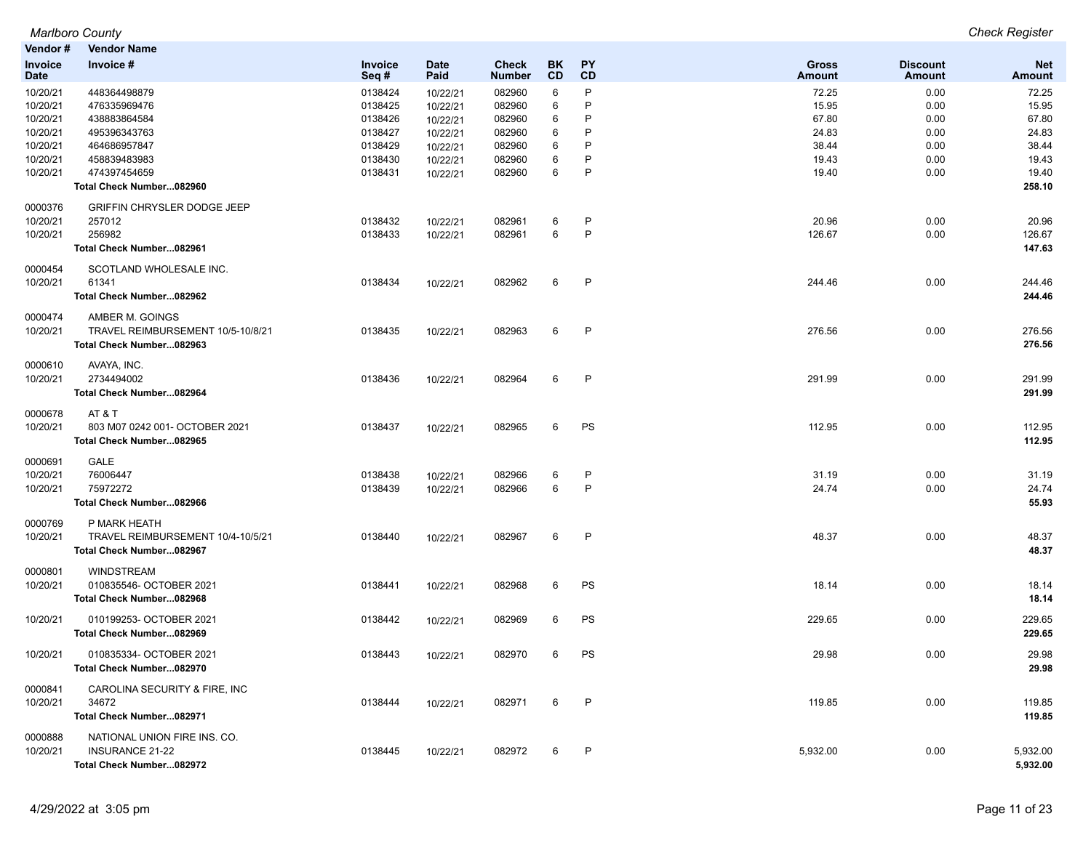*Marlboro County Check Register Marlboro County*<br>**Vendor # Vendor** 

| venaor #               | vendor Name                        |                 |                     |                               |           |                 |                               |                                  |                             |
|------------------------|------------------------------------|-----------------|---------------------|-------------------------------|-----------|-----------------|-------------------------------|----------------------------------|-----------------------------|
| <b>Invoice</b><br>Date | Invoice #                          | Invoice<br>Seq# | <b>Date</b><br>Paid | <b>Check</b><br><b>Number</b> | BK.<br>CD | <b>PY</b><br>CD | <b>Gross</b><br><b>Amount</b> | <b>Discount</b><br><b>Amount</b> | <b>Net</b><br><b>Amount</b> |
| 10/20/21               | 448364498879                       | 0138424         | 10/22/21            | 082960                        | 6         | P               | 72.25                         | 0.00                             | 72.25                       |
| 10/20/21               | 476335969476                       | 0138425         | 10/22/21            | 082960                        | 6         | P               | 15.95                         | 0.00                             | 15.95                       |
| 10/20/21               | 438883864584                       | 0138426         | 10/22/21            | 082960                        | 6         | P               | 67.80                         | 0.00                             | 67.80                       |
| 10/20/21               | 495396343763                       | 0138427         | 10/22/21            | 082960                        | 6         | P               | 24.83                         | 0.00                             | 24.83                       |
| 10/20/21               | 464686957847                       | 0138429         | 10/22/21            | 082960                        | 6         | P               | 38.44                         | 0.00                             | 38.44                       |
| 10/20/21               | 458839483983                       | 0138430         | 10/22/21            | 082960                        | 6         | P               | 19.43                         | 0.00                             | 19.43                       |
| 10/20/21               | 474397454659                       | 0138431         | 10/22/21            | 082960                        | 6         | P               | 19.40                         | 0.00                             | 19.40                       |
|                        | Total Check Number082960           |                 |                     |                               |           |                 |                               |                                  | 258.10                      |
| 0000376                | <b>GRIFFIN CHRYSLER DODGE JEEP</b> |                 |                     |                               |           |                 |                               |                                  |                             |
| 10/20/21               | 257012                             | 0138432         | 10/22/21            | 082961                        | 6         | P               | 20.96                         | 0.00                             | 20.96                       |
| 10/20/21               | 256982                             | 0138433         | 10/22/21            | 082961                        | 6         | P               | 126.67                        | 0.00                             | 126.67                      |
|                        | Total Check Number082961           |                 |                     |                               |           |                 |                               |                                  | 147.63                      |
|                        |                                    |                 |                     |                               |           |                 |                               |                                  |                             |
| 0000454                | SCOTLAND WHOLESALE INC.            |                 |                     |                               |           |                 |                               |                                  |                             |
| 10/20/21               | 61341                              | 0138434         | 10/22/21            | 082962                        | 6         | P               | 244.46                        | 0.00                             | 244.46                      |
|                        | Total Check Number082962           |                 |                     |                               |           |                 |                               |                                  | 244.46                      |
| 0000474                | AMBER M. GOINGS                    |                 |                     |                               |           |                 |                               |                                  |                             |
| 10/20/21               | TRAVEL REIMBURSEMENT 10/5-10/8/21  | 0138435         | 10/22/21            | 082963                        | 6         | $\mathsf{P}$    | 276.56                        | 0.00                             | 276.56                      |
|                        | Total Check Number082963           |                 |                     |                               |           |                 |                               |                                  | 276.56                      |
|                        |                                    |                 |                     |                               |           |                 |                               |                                  |                             |
| 0000610                | AVAYA, INC.                        |                 |                     |                               |           |                 |                               |                                  |                             |
| 10/20/21               | 2734494002                         | 0138436         | 10/22/21            | 082964                        | 6         | P               | 291.99                        | 0.00                             | 291.99                      |
|                        | Total Check Number082964           |                 |                     |                               |           |                 |                               |                                  | 291.99                      |
| 0000678                | AT & T                             |                 |                     |                               |           |                 |                               |                                  |                             |
| 10/20/21               | 803 M07 0242 001- OCTOBER 2021     | 0138437         | 10/22/21            | 082965                        | 6         | PS              | 112.95                        | 0.00                             | 112.95                      |
|                        | Total Check Number082965           |                 |                     |                               |           |                 |                               |                                  | 112.95                      |
| 0000691                | <b>GALE</b>                        |                 |                     |                               |           |                 |                               |                                  |                             |
| 10/20/21               | 76006447                           | 0138438         | 10/22/21            | 082966                        | 6         | $\mathsf{P}$    | 31.19                         | 0.00                             | 31.19                       |
| 10/20/21               | 75972272                           | 0138439         | 10/22/21            | 082966                        | 6         | $\sf P$         | 24.74                         | 0.00                             | 24.74                       |
|                        | Total Check Number082966           |                 |                     |                               |           |                 |                               |                                  | 55.93                       |
|                        |                                    |                 |                     |                               |           |                 |                               |                                  |                             |
| 0000769                | P MARK HEATH                       |                 |                     |                               |           |                 |                               |                                  |                             |
| 10/20/21               | TRAVEL REIMBURSEMENT 10/4-10/5/21  | 0138440         | 10/22/21            | 082967                        | 6         | $\mathsf{P}$    | 48.37                         | 0.00                             | 48.37                       |
|                        | Total Check Number082967           |                 |                     |                               |           |                 |                               |                                  | 48.37                       |
| 0000801                | <b>WINDSTREAM</b>                  |                 |                     |                               |           |                 |                               |                                  |                             |
| 10/20/21               | 010835546- OCTOBER 2021            | 0138441         | 10/22/21            | 082968                        | 6         | PS              | 18.14                         | 0.00                             | 18.14                       |
|                        | Total Check Number082968           |                 |                     |                               |           |                 |                               |                                  | 18.14                       |
| 10/20/21               | 010199253- OCTOBER 2021            | 0138442         |                     | 082969                        | 6         | PS              | 229.65                        | 0.00                             | 229.65                      |
|                        |                                    |                 | 10/22/21            |                               |           |                 |                               |                                  | 229.65                      |
|                        | Total Check Number082969           |                 |                     |                               |           |                 |                               |                                  |                             |
| 10/20/21               | 010835334- OCTOBER 2021            | 0138443         | 10/22/21            | 082970                        | 6         | PS              | 29.98                         | 0.00                             | 29.98                       |
|                        | Total Check Number082970           |                 |                     |                               |           |                 |                               |                                  | 29.98                       |
|                        |                                    |                 |                     |                               |           |                 |                               |                                  |                             |
| 0000841                | CAROLINA SECURITY & FIRE, INC      |                 |                     |                               |           |                 |                               |                                  |                             |
| 10/20/21               | 34672                              | 0138444         | 10/22/21            | 082971                        | 6         | $\mathsf{P}$    | 119.85                        | 0.00                             | 119.85                      |
|                        | Total Check Number082971           |                 |                     |                               |           |                 |                               |                                  | 119.85                      |
| 0000888                | NATIONAL UNION FIRE INS. CO.       |                 |                     |                               |           |                 |                               |                                  |                             |
| 10/20/21               | <b>INSURANCE 21-22</b>             | 0138445         | 10/22/21            | 082972                        | 6         | P               | 5,932.00                      | 0.00                             | 5,932.00                    |
|                        | Total Check Number082972           |                 |                     |                               |           |                 |                               |                                  | 5,932.00                    |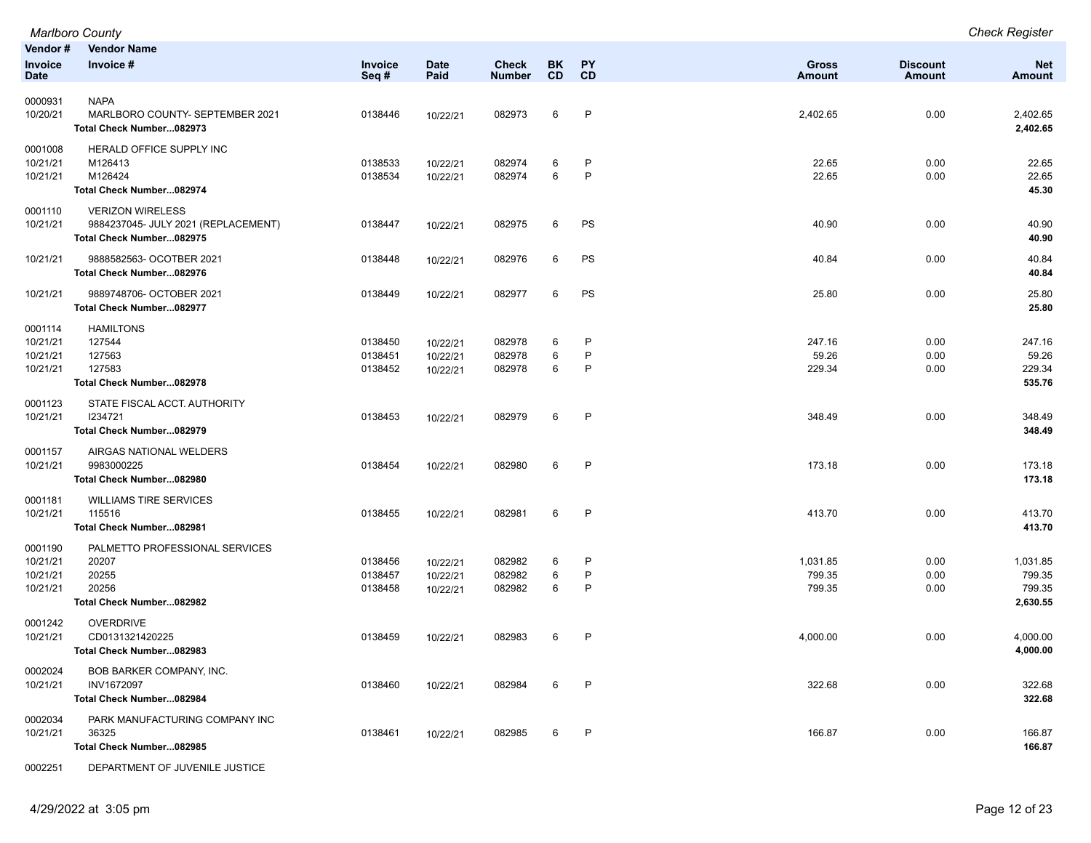|                                             | <b>Marlboro County</b>                                                                     |                               |                                  |                               |                 |                        |                               |                           | <b>Check Register</b>                    |
|---------------------------------------------|--------------------------------------------------------------------------------------------|-------------------------------|----------------------------------|-------------------------------|-----------------|------------------------|-------------------------------|---------------------------|------------------------------------------|
| Vendor#<br><b>Invoice</b><br><b>Date</b>    | <b>Vendor Name</b><br>Invoice #                                                            | <b>Invoice</b><br>Seq#        | <b>Date</b><br>Paid              | <b>Check</b><br><b>Number</b> | BK<br><b>CD</b> | <b>PY</b><br>CD        | <b>Gross</b><br><b>Amount</b> | <b>Discount</b><br>Amount | <b>Net</b><br><b>Amount</b>              |
| 0000931<br>10/20/21                         | <b>NAPA</b><br>MARLBORO COUNTY- SEPTEMBER 2021<br>Total Check Number082973                 | 0138446                       | 10/22/21                         | 082973                        | 6               | $\mathsf{P}$           | 2,402.65                      | 0.00                      | 2,402.65<br>2,402.65                     |
| 0001008<br>10/21/21<br>10/21/21             | HERALD OFFICE SUPPLY INC<br>M126413<br>M126424<br>Total Check Number082974                 | 0138533<br>0138534            | 10/22/21<br>10/22/21             | 082974<br>082974              | 6<br>6          | P<br>P                 | 22.65<br>22.65                | 0.00<br>0.00              | 22.65<br>22.65<br>45.30                  |
| 0001110<br>10/21/21                         | <b>VERIZON WIRELESS</b><br>9884237045- JULY 2021 (REPLACEMENT)<br>Total Check Number082975 | 0138447                       | 10/22/21                         | 082975                        | 6               | PS                     | 40.90                         | 0.00                      | 40.90<br>40.90                           |
| 10/21/21                                    | 9888582563- OCOTBER 2021<br>Total Check Number082976                                       | 0138448                       | 10/22/21                         | 082976                        | 6               | PS                     | 40.84                         | 0.00                      | 40.84<br>40.84                           |
| 10/21/21                                    | 9889748706- OCTOBER 2021<br>Total Check Number082977                                       | 0138449                       | 10/22/21                         | 082977                        | 6               | PS                     | 25.80                         | 0.00                      | 25.80<br>25.80                           |
| 0001114<br>10/21/21<br>10/21/21<br>10/21/21 | <b>HAMILTONS</b><br>127544<br>127563<br>127583<br>Total Check Number082978                 | 0138450<br>0138451<br>0138452 | 10/22/21<br>10/22/21<br>10/22/21 | 082978<br>082978<br>082978    | 6<br>6<br>6     | P<br>P<br>P            | 247.16<br>59.26<br>229.34     | 0.00<br>0.00<br>0.00      | 247.16<br>59.26<br>229.34<br>535.76      |
| 0001123<br>10/21/21                         | STATE FISCAL ACCT. AUTHORITY<br>1234721<br>Total Check Number082979                        | 0138453                       | 10/22/21                         | 082979                        | 6               | $\mathsf{P}$           | 348.49                        | 0.00                      | 348.49<br>348.49                         |
| 0001157<br>10/21/21                         | AIRGAS NATIONAL WELDERS<br>9983000225<br>Total Check Number082980                          | 0138454                       | 10/22/21                         | 082980                        | 6               | P                      | 173.18                        | 0.00                      | 173.18<br>173.18                         |
| 0001181<br>10/21/21                         | <b>WILLIAMS TIRE SERVICES</b><br>115516<br>Total Check Number082981                        | 0138455                       | 10/22/21                         | 082981                        | 6               | $\mathsf{P}$           | 413.70                        | 0.00                      | 413.70<br>413.70                         |
| 0001190<br>10/21/21<br>10/21/21<br>10/21/21 | PALMETTO PROFESSIONAL SERVICES<br>20207<br>20255<br>20256<br>Total Check Number082982      | 0138456<br>0138457<br>0138458 | 10/22/21<br>10/22/21<br>10/22/21 | 082982<br>082982<br>082982    | 6<br>6<br>6     | P<br>P<br>$\mathsf{P}$ | 1,031.85<br>799.35<br>799.35  | 0.00<br>0.00<br>0.00      | 1,031.85<br>799.35<br>799.35<br>2,630.55 |
| 0001242<br>10/21/21                         | <b>OVERDRIVE</b><br>CD0131321420225<br>Total Check Number082983                            | 0138459                       | 10/22/21                         | 082983                        | 6               | P                      | 4,000.00                      | 0.00                      | 4,000.00<br>4,000.00                     |
| 0002024<br>10/21/21                         | BOB BARKER COMPANY, INC.<br>INV1672097<br>Total Check Number082984                         | 0138460                       | 10/22/21                         | 082984                        | 6               | P                      | 322.68                        | 0.00                      | 322.68<br>322.68                         |
| 0002034<br>10/21/21                         | PARK MANUFACTURING COMPANY INC<br>36325<br>Total Check Number082985                        | 0138461                       | 10/22/21                         | 082985                        | 6               | P                      | 166.87                        | 0.00                      | 166.87<br>166.87                         |

0002251 DEPARTMENT OF JUVENILE JUSTICE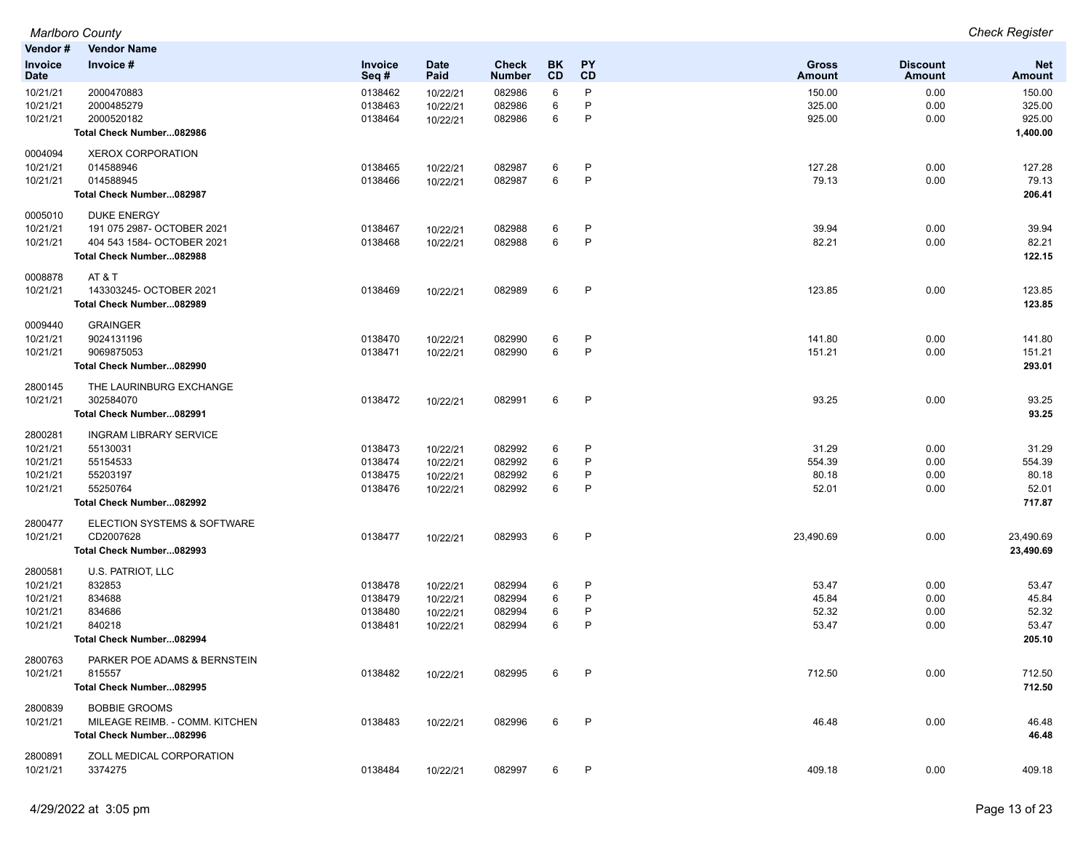**Vendor # Vendor Name Invoice Date Invoice # Invoice Seq # Date Paid Check Number BK CD PY CD Gross Amount Discount Amount** 10/21/21 2000470883 0138462 10/22/21 082986 6 P 150.00 0.00 150.00 10/21/21 2000485279 0138463 10/22/21 082986 6 P 325.00 0.00 325.00 10/21/21 2000520182 0138464 10/22/21 082986 6 P 925.00 0.00 925.00 **Total Check Number...082986 1,400.00** 0004094 XEROX CORPORATION 10/21/21 014588946 0138465 10/22/21 082987 6 P 127.28 0.00 127.28 10/21/21 014588945 0138466 10/22/21 082987 6 P 79.13 0.00 79.13 **Total Check Number...082987 206.41** 0005010 DUKE ENERGY 10/21/21 191 075 2987- OCTOBER 2021 0138467 10/22/21 082988 6 P 39.94 0.00 39.94 10/21/21 404 543 1584- OCTOBER 2021 0138468 10/22/21 082988 6 P 82.21 0.00 82.21 **Total Check Number...082988 122.15** 0008878 AT & T 10/21/21 143303245- OCTOBER 2021 0138469 10/22/21 082989 6 P 123.85 0.00 123.85 **Total Check Number...082989 123.85** 0009440 GRAINGER 10/21/21 9024131196 0138470 10/22/21 082990 6 P 141.80 0.00 141.80 10/21/21 9069875053 0138471 10/22/21 082990 6 P 151.21 0.00 151.21 **Total Check Number...082990 293.01** 2800145 THE LAURINBURG EXCHANGE 10/21/21 302584070 0138472 10/22/21 082991 6 P 93.25 0.00 93.25 **Total Check Number...082991 93.25** 2800281 INGRAM LIBRARY SERVICE 10/21/21 55130031 0138473 10/22/21 082992 6 P 31.29 0.00 31.29 10/21/21 55154533 0138474 10/22/21 082992 6 P 554.39 0.00 554.39 10/21/21 55203197 0138475 10/22/21 082992 6 P 80.18 0.00 80.18 10/21/21 55250764 0138476 10/22/21 082992 6 P 52.01 52.01 **Total Check Number...082992 717.87** 2800477 ELECTION SYSTEMS & SOFTWARE 10/21/21 CD2007628 0138477 10/22/21 082993 6 P 23,490.69 0.00 23,490.69 **Total Check Number...082993 23,490.69** 2800581 U.S. PATRIOT, LLC 10/21/21 832853 0138478 10/22/21 082994 6 P 53.47 0.00 53.47 10/21/21 834688 0138479 10/22/21 082994 6 P 45.84 0.00 45.84 10/21/21 834686 0138480 10/22/21 082994 6 P 52.32 0.00 52.32 10/21/21 840218 0138481 10/22/21 082994 6 P 53.47 0.00 53.47 **Total Check Number...082994 205.10** 2800763 PARKER POE ADAMS & BERNSTEIN 10/21/21 815557 0138482 10/22/21 082995 6 P 712.50 0.00 712.50 **Total Check Number...082995 712.50** 2800839 BOBBIE GROOMS 10/21/21 MILEAGE REIMB. - COMM. KITCHEN 0138483 10/22/21 082996 6 P 46.48 0.00 46.48 **Total Check Number...082996 46.48** 2800891 ZOLL MEDICAL CORPORATION

10/21/21 3374275 0138484 10/22/21 082997 6 P 409.18 0.00 409.18

*Marlboro County Check Register*

**Net Amount**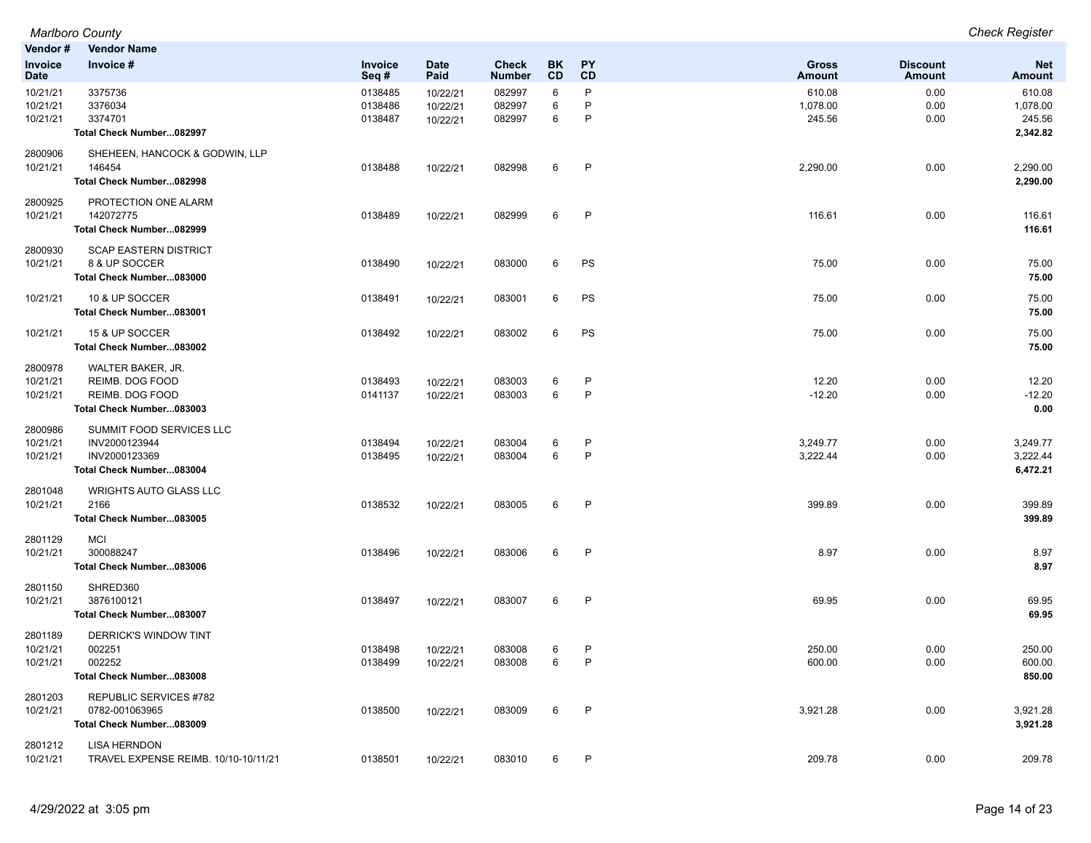|                                  | <b>Marlboro County</b>                                                                 |                               |                                  |                               |             |                   |                               |                                  | <b>Check Register</b>                    |
|----------------------------------|----------------------------------------------------------------------------------------|-------------------------------|----------------------------------|-------------------------------|-------------|-------------------|-------------------------------|----------------------------------|------------------------------------------|
| Vendor#                          | <b>Vendor Name</b>                                                                     |                               |                                  |                               |             |                   |                               |                                  |                                          |
| Invoice<br><b>Date</b>           | Invoice #                                                                              | <b>Invoice</b><br>Seq#        | <b>Date</b><br>Paid              | <b>Check</b><br><b>Number</b> | BK<br>CD    | <b>PY</b><br>CD   | <b>Gross</b><br><b>Amount</b> | <b>Discount</b><br><b>Amount</b> | <b>Net</b><br><b>Amount</b>              |
| 10/21/21<br>10/21/21<br>10/21/21 | 3375736<br>3376034<br>3374701<br>Total Check Number082997                              | 0138485<br>0138486<br>0138487 | 10/22/21<br>10/22/21<br>10/22/21 | 082997<br>082997<br>082997    | 6<br>6<br>6 | P<br>P<br>P       | 610.08<br>1,078.00<br>245.56  | 0.00<br>0.00<br>0.00             | 610.08<br>1,078.00<br>245.56<br>2,342.82 |
| 2800906<br>10/21/21              | SHEHEEN, HANCOCK & GODWIN, LLP<br>146454<br>Total Check Number082998                   | 0138488                       | 10/22/21                         | 082998                        | 6           | $\mathsf{P}$      | 2,290.00                      | 0.00                             | 2,290.00<br>2,290.00                     |
| 2800925<br>10/21/21              | PROTECTION ONE ALARM<br>142072775<br>Total Check Number082999                          | 0138489                       | 10/22/21                         | 082999                        | 6           | P                 | 116.61                        | 0.00                             | 116.61<br>116.61                         |
| 2800930<br>10/21/21              | <b>SCAP EASTERN DISTRICT</b><br>8 & UP SOCCER<br>Total Check Number083000              | 0138490                       | 10/22/21                         | 083000                        | 6           | PS                | 75.00                         | 0.00                             | 75.00<br>75.00                           |
| 10/21/21                         | 10 & UP SOCCER<br>Total Check Number083001                                             | 0138491                       | 10/22/21                         | 083001                        | 6           | PS                | 75.00                         | 0.00                             | 75.00<br>75.00                           |
| 10/21/21                         | 15 & UP SOCCER<br>Total Check Number083002                                             | 0138492                       | 10/22/21                         | 083002                        | 6           | PS                | 75.00                         | 0.00                             | 75.00<br>75.00                           |
| 2800978<br>10/21/21<br>10/21/21  | WALTER BAKER, JR.<br>REIMB. DOG FOOD<br>REIMB. DOG FOOD<br>Total Check Number083003    | 0138493<br>0141137            | 10/22/21<br>10/22/21             | 083003<br>083003              | 6<br>6      | P<br>$\mathsf{P}$ | 12.20<br>$-12.20$             | 0.00<br>0.00                     | 12.20<br>$-12.20$<br>0.00                |
| 2800986<br>10/21/21<br>10/21/21  | SUMMIT FOOD SERVICES LLC<br>INV2000123944<br>INV2000123369<br>Total Check Number083004 | 0138494<br>0138495            | 10/22/21<br>10/22/21             | 083004<br>083004              | 6<br>6      | P<br>$\mathsf{P}$ | 3,249.77<br>3,222.44          | 0.00<br>0.00                     | 3,249.77<br>3,222.44<br>6,472.21         |
| 2801048<br>10/21/21              | <b>WRIGHTS AUTO GLASS LLC</b><br>2166<br>Total Check Number083005                      | 0138532                       | 10/22/21                         | 083005                        | 6           | P                 | 399.89                        | 0.00                             | 399.89<br>399.89                         |
| 2801129<br>10/21/21              | <b>MCI</b><br>300088247<br>Total Check Number083006                                    | 0138496                       | 10/22/21                         | 083006                        | 6           | P                 | 8.97                          | 0.00                             | 8.97<br>8.97                             |
| 2801150<br>10/21/21              | SHRED360<br>3876100121<br>Total Check Number083007                                     | 0138497                       | 10/22/21                         | 083007                        | 6           | $\mathsf{P}$      | 69.95                         | 0.00                             | 69.95<br>69.95                           |
| 2801189<br>10/21/21<br>10/21/21  | DERRICK'S WINDOW TINT<br>002251<br>002252<br>Total Check Number083008                  | 0138498<br>0138499            | 10/22/21<br>10/22/21             | 083008<br>083008              | 6<br>6      | P<br>$\mathsf{P}$ | 250.00<br>600.00              | 0.00<br>0.00                     | 250.00<br>600.00<br>850.00               |
| 2801203<br>10/21/21              | REPUBLIC SERVICES #782<br>0782-001063965<br>Total Check Number083009                   | 0138500                       | 10/22/21                         | 083009                        | 6           | P                 | 3,921.28                      | 0.00                             | 3,921.28<br>3,921.28                     |
| 2801212<br>10/21/21              | <b>LISA HERNDON</b><br>TRAVEL EXPENSE REIMB, 10/10-10/11/21                            | 0138501                       | 10/22/21                         | 083010                        | 6           | P                 | 209.78                        | 0.00                             | 209.78                                   |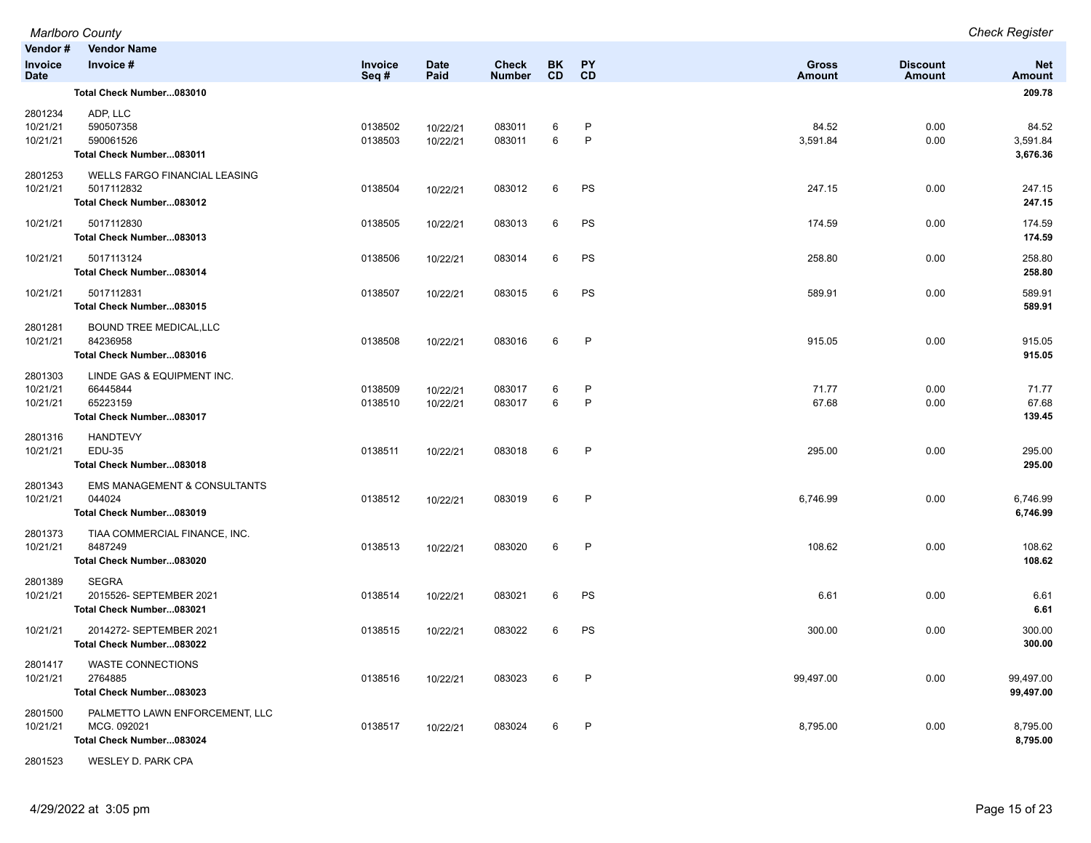|                                   | <b>Marlboro County</b>                                                         |                    |                      |                               |                 |                   |                        |                           | <b>Check Register</b>         |
|-----------------------------------|--------------------------------------------------------------------------------|--------------------|----------------------|-------------------------------|-----------------|-------------------|------------------------|---------------------------|-------------------------------|
| Vendor#<br>Invoice<br><b>Date</b> | <b>Vendor Name</b><br>Invoice #                                                | Invoice<br>Seq#    | Date<br>Paid         | <b>Check</b><br><b>Number</b> | BK<br><b>CD</b> | PY<br>CD          | <b>Gross</b><br>Amount | <b>Discount</b><br>Amount | <b>Net</b><br><b>Amount</b>   |
|                                   | Total Check Number083010                                                       |                    |                      |                               |                 |                   |                        |                           | 209.78                        |
| 2801234<br>10/21/21<br>10/21/21   | ADP, LLC<br>590507358<br>590061526<br>Total Check Number083011                 | 0138502<br>0138503 | 10/22/21<br>10/22/21 | 083011<br>083011              | 6<br>6          | P<br>$\mathsf{P}$ | 84.52<br>3,591.84      | 0.00<br>0.00              | 84.52<br>3,591.84<br>3,676.36 |
| 2801253<br>10/21/21               | WELLS FARGO FINANCIAL LEASING<br>5017112832<br>Total Check Number083012        | 0138504            | 10/22/21             | 083012                        | 6               | PS                | 247.15                 | 0.00                      | 247.15<br>247.15              |
| 10/21/21                          | 5017112830<br>Total Check Number083013                                         | 0138505            | 10/22/21             | 083013                        | 6               | PS                | 174.59                 | 0.00                      | 174.59<br>174.59              |
| 10/21/21                          | 5017113124<br>Total Check Number083014                                         | 0138506            | 10/22/21             | 083014                        | 6               | PS                | 258.80                 | 0.00                      | 258.80<br>258.80              |
| 10/21/21                          | 5017112831<br>Total Check Number083015                                         | 0138507            | 10/22/21             | 083015                        | 6               | PS                | 589.91                 | 0.00                      | 589.91<br>589.91              |
| 2801281<br>10/21/21               | BOUND TREE MEDICAL, LLC<br>84236958<br>Total Check Number083016                | 0138508            | 10/22/21             | 083016                        | 6               | $\mathsf{P}$      | 915.05                 | 0.00                      | 915.05<br>915.05              |
| 2801303<br>10/21/21<br>10/21/21   | LINDE GAS & EQUIPMENT INC.<br>66445844<br>65223159<br>Total Check Number083017 | 0138509<br>0138510 | 10/22/21<br>10/22/21 | 083017<br>083017              | 6<br>6          | P<br>$\mathsf{P}$ | 71.77<br>67.68         | 0.00<br>0.00              | 71.77<br>67.68<br>139.45      |
| 2801316<br>10/21/21               | <b>HANDTEVY</b><br><b>EDU-35</b><br>Total Check Number083018                   | 0138511            | 10/22/21             | 083018                        | 6               | P                 | 295.00                 | 0.00                      | 295.00<br>295.00              |
| 2801343<br>10/21/21               | <b>EMS MANAGEMENT &amp; CONSULTANTS</b><br>044024<br>Total Check Number083019  | 0138512            | 10/22/21             | 083019                        | 6               | P                 | 6,746.99               | 0.00                      | 6,746.99<br>6,746.99          |
| 2801373<br>10/21/21               | TIAA COMMERCIAL FINANCE, INC.<br>8487249<br>Total Check Number083020           | 0138513            | 10/22/21             | 083020                        | 6               | $\mathsf{P}$      | 108.62                 | 0.00                      | 108.62<br>108.62              |
| 2801389<br>10/21/21               | <b>SEGRA</b><br>2015526- SEPTEMBER 2021<br>Total Check Number083021            | 0138514            | 10/22/21             | 083021                        | 6               | PS                | 6.61                   | 0.00                      | 6.61<br>6.61                  |
| 10/21/21                          | 2014272- SEPTEMBER 2021<br>Total Check Number083022                            | 0138515            | 10/22/21             | 083022                        | 6               | PS                | 300.00                 | 0.00                      | 300.00<br>300.00              |
| 2801417<br>10/21/21               | <b>WASTE CONNECTIONS</b><br>2764885<br>Total Check Number083023                | 0138516            | 10/22/21             | 083023                        | 6               | P                 | 99,497.00              | 0.00                      | 99,497.00<br>99,497.00        |
| 2801500<br>10/21/21               | PALMETTO LAWN ENFORCEMENT, LLC<br>MCG. 092021<br>Total Check Number083024      | 0138517            | 10/22/21             | 083024                        | 6               | $\mathsf{P}$      | 8,795.00               | 0.00                      | 8,795.00<br>8,795.00          |
| 2801523                           | WESLEY D. PARK CPA                                                             |                    |                      |                               |                 |                   |                        |                           |                               |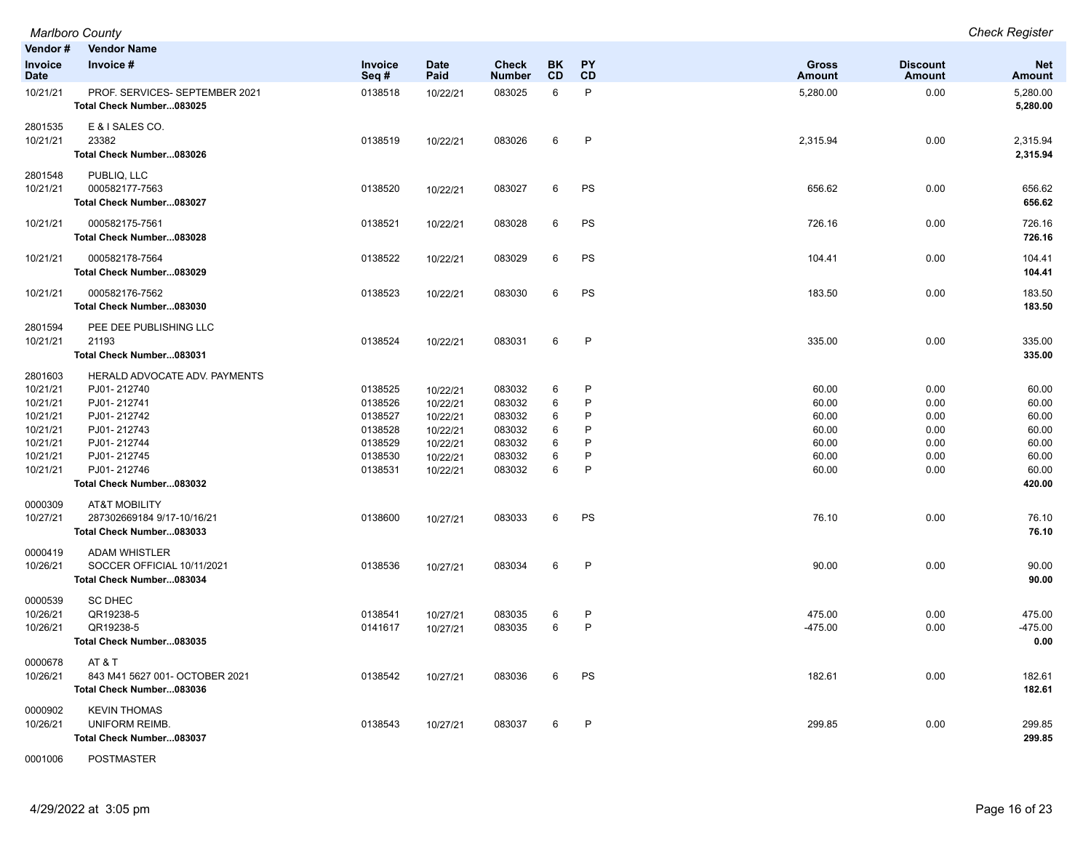|                                                                                             | <b>Marlboro County</b>                                                                                                                                             |                                                                           |                                                                                  |                                                                    |                                 |                                                       |                                                             |                                                      | <b>Check Register</b>                                                 |
|---------------------------------------------------------------------------------------------|--------------------------------------------------------------------------------------------------------------------------------------------------------------------|---------------------------------------------------------------------------|----------------------------------------------------------------------------------|--------------------------------------------------------------------|---------------------------------|-------------------------------------------------------|-------------------------------------------------------------|------------------------------------------------------|-----------------------------------------------------------------------|
| Vendor#                                                                                     | <b>Vendor Name</b>                                                                                                                                                 |                                                                           |                                                                                  |                                                                    |                                 |                                                       |                                                             |                                                      |                                                                       |
| <b>Invoice</b><br>Date                                                                      | Invoice #                                                                                                                                                          | Invoice<br>Seq#                                                           | <b>Date</b><br>Paid                                                              | <b>Check</b><br><b>Number</b>                                      | <b>BK</b><br><b>CD</b>          | <b>PY</b><br>CD                                       | <b>Gross</b><br><b>Amount</b>                               | <b>Discount</b><br>Amount                            | <b>Net</b><br><b>Amount</b>                                           |
| 10/21/21                                                                                    | PROF. SERVICES- SEPTEMBER 2021<br>Total Check Number083025                                                                                                         | 0138518                                                                   | 10/22/21                                                                         | 083025                                                             | 6                               | $\mathsf{P}$                                          | 5,280.00                                                    | 0.00                                                 | 5,280.00<br>5,280.00                                                  |
| 2801535<br>10/21/21                                                                         | E & I SALES CO.<br>23382<br>Total Check Number083026                                                                                                               | 0138519                                                                   | 10/22/21                                                                         | 083026                                                             | 6                               | P                                                     | 2,315.94                                                    | 0.00                                                 | 2,315.94<br>2,315.94                                                  |
| 2801548<br>10/21/21                                                                         | PUBLIQ, LLC<br>000582177-7563<br>Total Check Number083027                                                                                                          | 0138520                                                                   | 10/22/21                                                                         | 083027                                                             | 6                               | PS                                                    | 656.62                                                      | 0.00                                                 | 656.62<br>656.62                                                      |
| 10/21/21                                                                                    | 000582175-7561<br>Total Check Number083028                                                                                                                         | 0138521                                                                   | 10/22/21                                                                         | 083028                                                             | 6                               | PS                                                    | 726.16                                                      | 0.00                                                 | 726.16<br>726.16                                                      |
| 10/21/21                                                                                    | 000582178-7564<br>Total Check Number083029                                                                                                                         | 0138522                                                                   | 10/22/21                                                                         | 083029                                                             | 6                               | PS                                                    | 104.41                                                      | 0.00                                                 | 104.41<br>104.41                                                      |
| 10/21/21                                                                                    | 000582176-7562<br>Total Check Number083030                                                                                                                         | 0138523                                                                   | 10/22/21                                                                         | 083030                                                             | 6                               | PS                                                    | 183.50                                                      | 0.00                                                 | 183.50<br>183.50                                                      |
| 2801594<br>10/21/21                                                                         | PEE DEE PUBLISHING LLC<br>21193<br>Total Check Number083031                                                                                                        | 0138524                                                                   | 10/22/21                                                                         | 083031                                                             | 6                               | $\mathsf{P}$                                          | 335.00                                                      | 0.00                                                 | 335.00<br>335.00                                                      |
| 2801603<br>10/21/21<br>10/21/21<br>10/21/21<br>10/21/21<br>10/21/21<br>10/21/21<br>10/21/21 | HERALD ADVOCATE ADV. PAYMENTS<br>PJ01-212740<br>PJ01-212741<br>PJ01-212742<br>PJ01-212743<br>PJ01-212744<br>PJ01-212745<br>PJ01-212746<br>Total Check Number083032 | 0138525<br>0138526<br>0138527<br>0138528<br>0138529<br>0138530<br>0138531 | 10/22/21<br>10/22/21<br>10/22/21<br>10/22/21<br>10/22/21<br>10/22/21<br>10/22/21 | 083032<br>083032<br>083032<br>083032<br>083032<br>083032<br>083032 | 6<br>6<br>6<br>6<br>6<br>6<br>6 | $\mathsf{P}$<br>P<br>P<br>P<br>P<br>P<br>$\mathsf{P}$ | 60.00<br>60.00<br>60.00<br>60.00<br>60.00<br>60.00<br>60.00 | 0.00<br>0.00<br>0.00<br>0.00<br>0.00<br>0.00<br>0.00 | 60.00<br>60.00<br>60.00<br>60.00<br>60.00<br>60.00<br>60.00<br>420.00 |
| 0000309<br>10/27/21                                                                         | <b>AT&amp;T MOBILITY</b><br>287302669184 9/17-10/16/21<br>Total Check Number083033                                                                                 | 0138600                                                                   | 10/27/21                                                                         | 083033                                                             | 6                               | PS                                                    | 76.10                                                       | 0.00                                                 | 76.10<br>76.10                                                        |
| 0000419<br>10/26/21                                                                         | <b>ADAM WHISTLER</b><br>SOCCER OFFICIAL 10/11/2021<br>Total Check Number083034                                                                                     | 0138536                                                                   | 10/27/21                                                                         | 083034                                                             | 6                               | $\mathsf{P}$                                          | 90.00                                                       | 0.00                                                 | 90.00<br>90.00                                                        |
| 0000539<br>10/26/21<br>10/26/21                                                             | <b>SC DHEC</b><br>QR19238-5<br>QR19238-5<br>Total Check Number083035                                                                                               | 0138541<br>0141617                                                        | 10/27/21<br>10/27/21                                                             | 083035<br>083035                                                   | 6<br>6                          | P<br>P                                                | 475.00<br>$-475.00$                                         | 0.00<br>0.00                                         | 475.00<br>$-475.00$<br>0.00                                           |
| 0000678<br>10/26/21                                                                         | <b>AT &amp; T</b><br>843 M41 5627 001- OCTOBER 2021<br>Total Check Number083036                                                                                    | 0138542                                                                   | 10/27/21                                                                         | 083036                                                             | 6                               | PS                                                    | 182.61                                                      | 0.00                                                 | 182.61<br>182.61                                                      |
| 0000902<br>10/26/21                                                                         | <b>KEVIN THOMAS</b><br>UNIFORM REIMB.<br>Total Check Number083037                                                                                                  | 0138543                                                                   | 10/27/21                                                                         | 083037                                                             | 6                               | P                                                     | 299.85                                                      | 0.00                                                 | 299.85<br>299.85                                                      |

0001006 POSTMASTER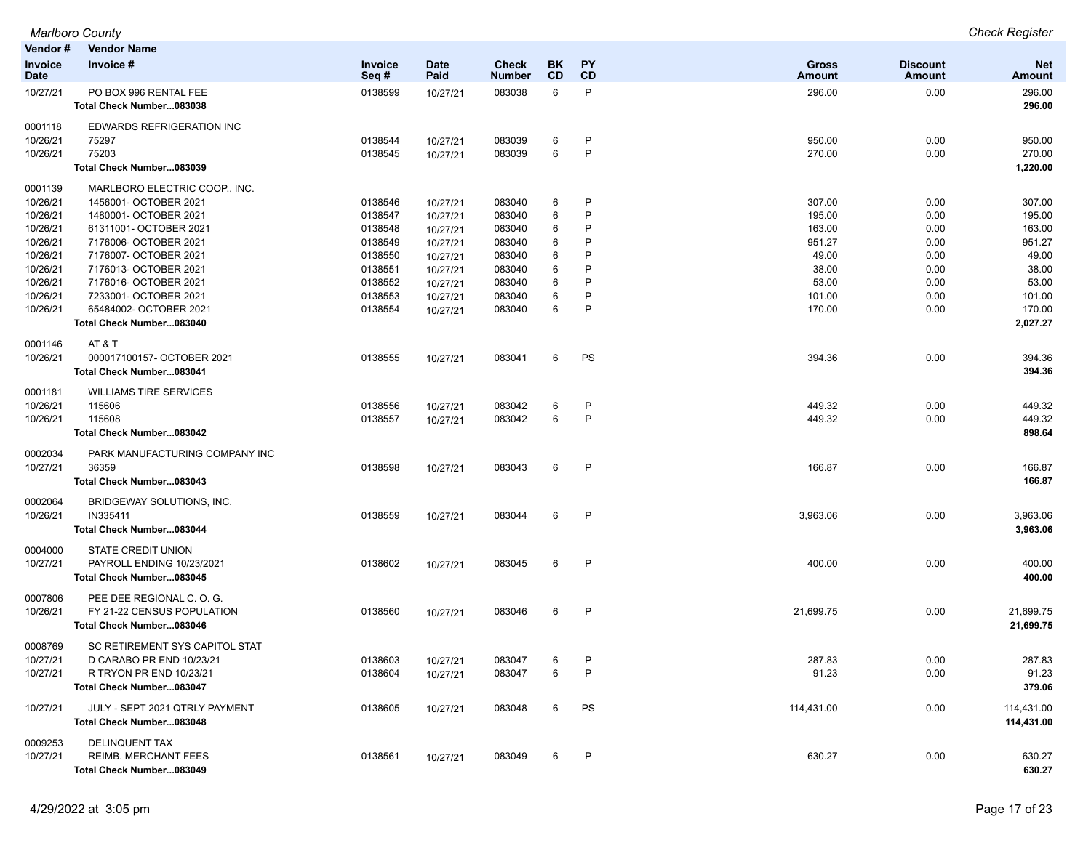| Vendor #                      | <b>Vendor Name</b>                                |                        |                     |                        |                 |                 |                        |                           |                             |
|-------------------------------|---------------------------------------------------|------------------------|---------------------|------------------------|-----------------|-----------------|------------------------|---------------------------|-----------------------------|
| <b>Invoice</b><br><b>Date</b> | Invoice #                                         | <b>Invoice</b><br>Seq# | <b>Date</b><br>Paid | Check<br><b>Number</b> | BK<br><b>CD</b> | <b>PY</b><br>CD | <b>Gross</b><br>Amount | <b>Discount</b><br>Amount | <b>Net</b><br><b>Amount</b> |
| 10/27/21                      | PO BOX 996 RENTAL FEE<br>Total Check Number083038 | 0138599                | 10/27/21            | 083038                 | 6               | P               | 296.00                 | 0.00                      | 296.00<br>296.00            |
| 0001118                       | EDWARDS REFRIGERATION INC                         |                        |                     |                        |                 |                 |                        |                           |                             |
| 10/26/21                      | 75297                                             | 0138544                | 10/27/21            | 083039                 | 6               | P               | 950.00                 | 0.00                      | 950.00                      |
| 10/26/21                      | 75203<br>Total Check Number083039                 | 0138545                | 10/27/21            | 083039                 | 6               | P               | 270.00                 | 0.00                      | 270.00<br>1,220.00          |
| 0001139                       | MARLBORO ELECTRIC COOP., INC.                     |                        |                     |                        |                 |                 |                        |                           |                             |
| 10/26/21                      | 1456001- OCTOBER 2021                             | 0138546                | 10/27/21            | 083040                 | 6               | P               | 307.00                 | 0.00                      | 307.00                      |
| 10/26/21                      | 1480001- OCTOBER 2021                             | 0138547                | 10/27/21            | 083040                 | 6               | P               | 195.00                 | 0.00                      | 195.00                      |
| 10/26/21                      | 61311001- OCTOBER 2021                            | 0138548                | 10/27/21            | 083040                 | 6               | P               | 163.00                 | 0.00                      | 163.00                      |
| 10/26/21                      | 7176006- OCTOBER 2021                             | 0138549                | 10/27/21            | 083040                 | 6               | P               | 951.27                 | 0.00                      | 951.27                      |
| 10/26/21                      | 7176007- OCTOBER 2021                             | 0138550                | 10/27/21            | 083040                 | 6               | P               | 49.00                  | 0.00                      | 49.00                       |
| 10/26/21                      | 7176013- OCTOBER 2021                             | 0138551                | 10/27/21            | 083040                 | 6               | P               | 38.00                  | 0.00                      | 38.00                       |
| 10/26/21                      | 7176016- OCTOBER 2021                             | 0138552                | 10/27/21            | 083040                 | 6               | P               | 53.00                  | 0.00                      | 53.00                       |
| 10/26/21                      | 7233001- OCTOBER 2021                             | 0138553                | 10/27/21            | 083040                 | 6               | P               | 101.00                 | 0.00                      | 101.00                      |
| 10/26/21                      | 65484002- OCTOBER 2021                            | 0138554                | 10/27/21            | 083040                 | 6               | P               | 170.00                 | 0.00                      | 170.00                      |
|                               | Total Check Number083040                          |                        |                     |                        |                 |                 |                        |                           | 2,027.27                    |
| 0001146                       | AT & T                                            |                        |                     |                        |                 |                 |                        |                           |                             |
| 10/26/21                      | 000017100157- OCTOBER 2021                        | 0138555                | 10/27/21            | 083041                 | 6               | PS              | 394.36                 | 0.00                      | 394.36                      |
|                               | Total Check Number083041                          |                        |                     |                        |                 |                 |                        |                           | 394.36                      |
| 0001181                       | <b>WILLIAMS TIRE SERVICES</b>                     |                        |                     |                        |                 |                 |                        |                           |                             |
| 10/26/21                      | 115606                                            | 0138556                | 10/27/21            | 083042                 | 6               | P               | 449.32                 | 0.00                      | 449.32                      |
| 10/26/21                      | 115608                                            | 0138557                | 10/27/21            | 083042                 | 6               | P               | 449.32                 | 0.00                      | 449.32                      |
|                               | Total Check Number083042                          |                        |                     |                        |                 |                 |                        |                           | 898.64                      |
| 0002034                       | PARK MANUFACTURING COMPANY INC                    |                        |                     |                        |                 |                 |                        |                           |                             |
| 10/27/21                      | 36359                                             | 0138598                | 10/27/21            | 083043                 | 6               | $\mathsf{P}$    | 166.87                 | 0.00                      | 166.87                      |
|                               | Total Check Number083043                          |                        |                     |                        |                 |                 |                        |                           | 166.87                      |
| 0002064                       | BRIDGEWAY SOLUTIONS, INC.                         |                        |                     |                        |                 |                 |                        |                           |                             |
| 10/26/21                      | IN335411                                          | 0138559                | 10/27/21            | 083044                 | 6               | P               | 3,963.06               | 0.00                      | 3,963.06                    |
|                               | Total Check Number083044                          |                        |                     |                        |                 |                 |                        |                           | 3,963.06                    |
| 0004000                       | STATE CREDIT UNION                                |                        |                     |                        |                 |                 |                        |                           |                             |
| 10/27/21                      | PAYROLL ENDING 10/23/2021                         | 0138602                | 10/27/21            | 083045                 | 6               | $\mathsf{P}$    | 400.00                 | 0.00                      | 400.00                      |
|                               | Total Check Number083045                          |                        |                     |                        |                 |                 |                        |                           | 400.00                      |
| 0007806                       | PEE DEE REGIONAL C. O. G.                         |                        |                     |                        |                 |                 |                        |                           |                             |
| 10/26/21                      | FY 21-22 CENSUS POPULATION                        | 0138560                | 10/27/21            | 083046                 | 6               | P               | 21,699.75              | 0.00                      | 21,699.75                   |
|                               | Total Check Number083046                          |                        |                     |                        |                 |                 |                        |                           | 21,699.75                   |
| 0008769                       | SC RETIREMENT SYS CAPITOL STAT                    |                        |                     |                        |                 |                 |                        |                           |                             |
| 10/27/21                      | D CARABO PR END 10/23/21                          | 0138603                | 10/27/21            | 083047                 | 6               | P               | 287.83                 | 0.00                      | 287.83                      |
| 10/27/21                      | R TRYON PR END 10/23/21                           | 0138604                | 10/27/21            | 083047                 | 6               | P               | 91.23                  | 0.00                      | 91.23                       |
|                               | Total Check Number083047                          |                        |                     |                        |                 |                 |                        |                           | 379.06                      |
| 10/27/21                      | JULY - SEPT 2021 QTRLY PAYMENT                    | 0138605                | 10/27/21            | 083048                 | 6               | PS              | 114,431.00             | 0.00                      | 114,431.00                  |
|                               | Total Check Number083048                          |                        |                     |                        |                 |                 |                        |                           | 114,431.00                  |
| 0009253                       | <b>DELINQUENT TAX</b>                             |                        |                     |                        |                 |                 |                        |                           |                             |
| 10/27/21                      | REIMB. MERCHANT FEES                              | 0138561                | 10/27/21            | 083049                 | 6               | P               | 630.27                 | 0.00                      | 630.27                      |
|                               | Total Check Number083049                          |                        |                     |                        |                 |                 |                        |                           | 630.27                      |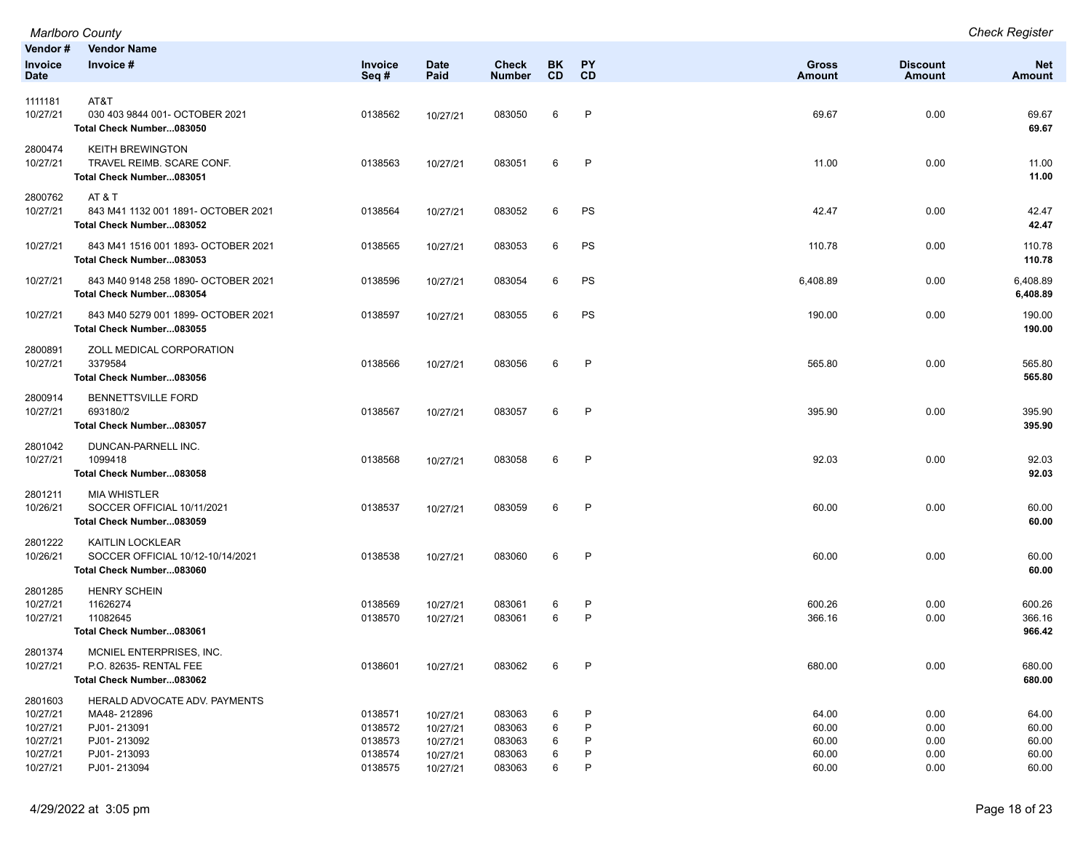|                                                         | <b>Marlboro County</b>                                                                    |                                          |                                              |                                      |                        |                   |                                  |                              | <b>Check Register</b>            |
|---------------------------------------------------------|-------------------------------------------------------------------------------------------|------------------------------------------|----------------------------------------------|--------------------------------------|------------------------|-------------------|----------------------------------|------------------------------|----------------------------------|
| Vendor#<br><b>Invoice</b><br><b>Date</b>                | <b>Vendor Name</b><br>Invoice #                                                           | Invoice<br>Seq#                          | <b>Date</b><br>Paid                          | <b>Check</b><br><b>Number</b>        | <b>BK</b><br><b>CD</b> | PY<br><b>CD</b>   | <b>Gross</b><br><b>Amount</b>    | <b>Discount</b><br>Amount    | <b>Net</b><br><b>Amount</b>      |
|                                                         |                                                                                           |                                          |                                              |                                      |                        |                   |                                  |                              |                                  |
| 1111181<br>10/27/21                                     | AT&T<br>030 403 9844 001- OCTOBER 2021<br>Total Check Number083050                        | 0138562                                  | 10/27/21                                     | 083050                               | 6                      | P                 | 69.67                            | 0.00                         | 69.67<br>69.67                   |
| 2800474<br>10/27/21                                     | <b>KEITH BREWINGTON</b><br>TRAVEL REIMB. SCARE CONF.<br>Total Check Number083051          | 0138563                                  | 10/27/21                                     | 083051                               | 6                      | $\mathsf{P}$      | 11.00                            | 0.00                         | 11.00<br>11.00                   |
| 2800762<br>10/27/21                                     | AT&T<br>843 M41 1132 001 1891- OCTOBER 2021<br>Total Check Number083052                   | 0138564                                  | 10/27/21                                     | 083052                               | 6                      | PS                | 42.47                            | 0.00                         | 42.47<br>42.47                   |
| 10/27/21                                                | 843 M41 1516 001 1893- OCTOBER 2021<br>Total Check Number083053                           | 0138565                                  | 10/27/21                                     | 083053                               | 6                      | PS                | 110.78                           | 0.00                         | 110.78<br>110.78                 |
| 10/27/21                                                | 843 M40 9148 258 1890- OCTOBER 2021<br>Total Check Number083054                           | 0138596                                  | 10/27/21                                     | 083054                               | 6                      | PS                | 6,408.89                         | 0.00                         | 6,408.89<br>6,408.89             |
| 10/27/21                                                | 843 M40 5279 001 1899- OCTOBER 2021<br>Total Check Number083055                           | 0138597                                  | 10/27/21                                     | 083055                               | 6                      | PS                | 190.00                           | 0.00                         | 190.00<br>190.00                 |
| 2800891<br>10/27/21                                     | ZOLL MEDICAL CORPORATION<br>3379584<br>Total Check Number083056                           | 0138566                                  | 10/27/21                                     | 083056                               | 6                      | P                 | 565.80                           | 0.00                         | 565.80<br>565.80                 |
| 2800914<br>10/27/21                                     | <b>BENNETTSVILLE FORD</b><br>693180/2<br>Total Check Number083057                         | 0138567                                  | 10/27/21                                     | 083057                               | 6                      | P                 | 395.90                           | 0.00                         | 395.90<br>395.90                 |
| 2801042<br>10/27/21                                     | DUNCAN-PARNELL INC.<br>1099418<br>Total Check Number083058                                | 0138568                                  | 10/27/21                                     | 083058                               | 6                      | $\mathsf{P}$      | 92.03                            | 0.00                         | 92.03<br>92.03                   |
| 2801211<br>10/26/21                                     | <b>MIA WHISTLER</b><br>SOCCER OFFICIAL 10/11/2021<br>Total Check Number083059             | 0138537                                  | 10/27/21                                     | 083059                               | 6                      | P                 | 60.00                            | 0.00                         | 60.00<br>60.00                   |
| 2801222<br>10/26/21                                     | KAITLIN LOCKLEAR<br>SOCCER OFFICIAL 10/12-10/14/2021<br>Total Check Number083060          | 0138538                                  | 10/27/21                                     | 083060                               | 6                      | P                 | 60.00                            | 0.00                         | 60.00<br>60.00                   |
| 2801285<br>10/27/21<br>10/27/21                         | <b>HENRY SCHEIN</b><br>11626274<br>11082645<br>Total Check Number083061                   | 0138569<br>0138570                       | 10/27/21<br>10/27/21                         | 083061<br>083061                     | 6<br>6                 | P<br>$\mathsf{P}$ | 600.26<br>366.16                 | 0.00<br>0.00                 | 600.26<br>366.16<br>966.42       |
| 2801374<br>10/27/21                                     | MCNIEL ENTERPRISES, INC.<br>P.O. 82635- RENTAL FEE<br>Total Check Number083062            | 0138601                                  | 10/27/21                                     | 083062                               | 6                      | P                 | 680.00                           | 0.00                         | 680.00<br>680.00                 |
| 2801603<br>10/27/21<br>10/27/21<br>10/27/21<br>10/27/21 | HERALD ADVOCATE ADV. PAYMENTS<br>MA48-212896<br>PJ01-213091<br>PJ01-213092<br>PJ01-213093 | 0138571<br>0138572<br>0138573<br>0138574 | 10/27/21<br>10/27/21<br>10/27/21<br>10/27/21 | 083063<br>083063<br>083063<br>083063 | 6<br>6<br>6<br>6       | P<br>P<br>Р       | 64.00<br>60.00<br>60.00<br>60.00 | 0.00<br>0.00<br>0.00<br>0.00 | 64.00<br>60.00<br>60.00<br>60.00 |
| 10/27/21                                                | PJ01-213094                                                                               | 0138575                                  | 10/27/21                                     | 083063                               | 6                      | P                 | 60.00                            | 0.00                         | 60.00                            |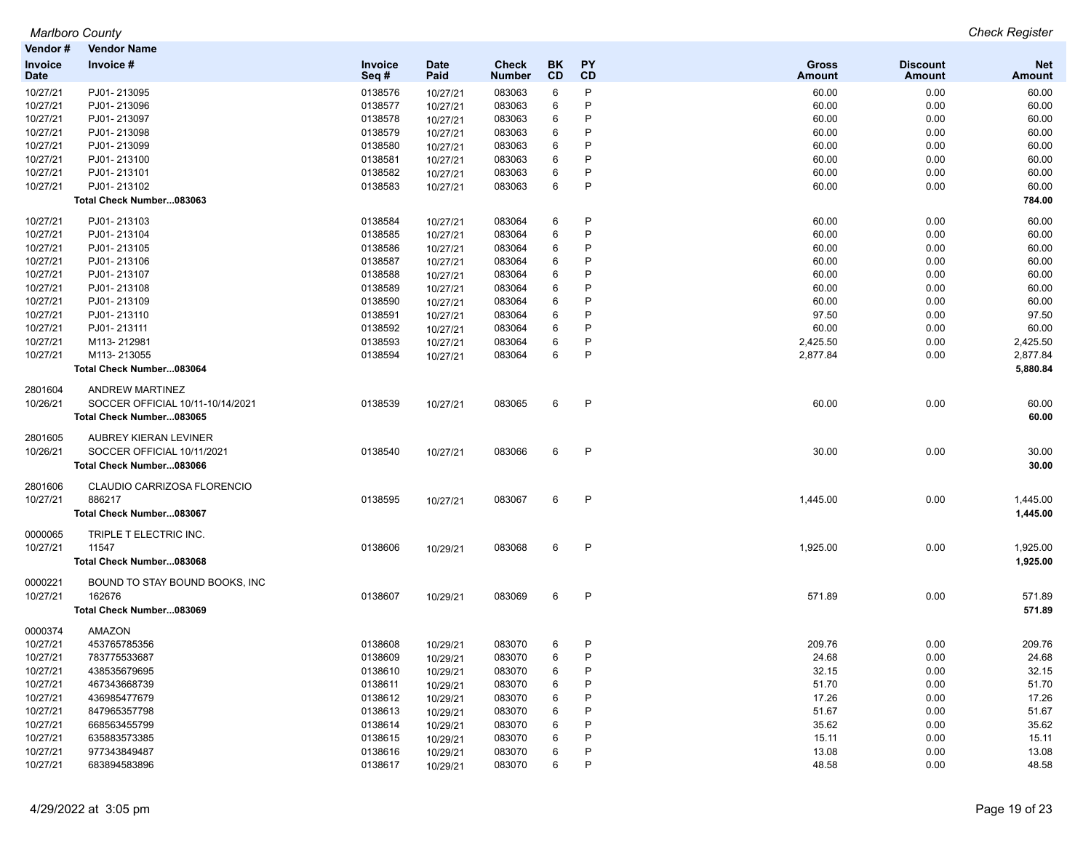| Invoice #<br><b>Date</b><br><b>Check</b><br>BK.<br><b>PY</b><br><b>Gross</b><br><b>Invoice</b><br><b>Invoice</b><br>CD<br>Paid<br>CD<br>Seq#<br><b>Number</b><br><b>Date</b><br>Amount<br>P<br>10/27/21<br>PJ01-213095<br>6<br>0138576<br>083063<br>60.00<br>10/27/21<br>P<br>10/27/21<br>PJ01-213096<br>0138577<br>083063<br>6<br>60.00<br>10/27/21<br>6<br>P<br>10/27/21<br>PJ01-213097<br>0138578<br>083063<br>60.00<br>10/27/21<br>10/27/21<br>0138579<br>083063<br>6<br>P<br>60.00<br>PJ01-213098<br>10/27/21<br>P<br>0138580<br>6<br>60.00<br>10/27/21<br>PJ01-213099<br>10/27/21<br>083063<br>P<br>10/27/21<br>PJ01-213100<br>0138581<br>083063<br>6<br>60.00<br>10/27/21<br>6<br>P<br>10/27/21<br>PJ01-213101<br>0138582<br>60.00<br>083063<br>10/27/21 | <b>Discount</b><br><b>Net</b><br>Amount<br>Amount<br>60.00<br>0.00<br>0.00<br>60.00<br>0.00<br>60.00<br>0.00<br>60.00<br>0.00<br>60.00<br>0.00<br>60.00<br>0.00<br>60.00<br>0.00<br>60.00<br>784.00<br>0.00<br>60.00<br>0.00<br>60.00 |
|-----------------------------------------------------------------------------------------------------------------------------------------------------------------------------------------------------------------------------------------------------------------------------------------------------------------------------------------------------------------------------------------------------------------------------------------------------------------------------------------------------------------------------------------------------------------------------------------------------------------------------------------------------------------------------------------------------------------------------------------------------------------|---------------------------------------------------------------------------------------------------------------------------------------------------------------------------------------------------------------------------------------|
|                                                                                                                                                                                                                                                                                                                                                                                                                                                                                                                                                                                                                                                                                                                                                                 |                                                                                                                                                                                                                                       |
|                                                                                                                                                                                                                                                                                                                                                                                                                                                                                                                                                                                                                                                                                                                                                                 |                                                                                                                                                                                                                                       |
|                                                                                                                                                                                                                                                                                                                                                                                                                                                                                                                                                                                                                                                                                                                                                                 |                                                                                                                                                                                                                                       |
|                                                                                                                                                                                                                                                                                                                                                                                                                                                                                                                                                                                                                                                                                                                                                                 |                                                                                                                                                                                                                                       |
|                                                                                                                                                                                                                                                                                                                                                                                                                                                                                                                                                                                                                                                                                                                                                                 |                                                                                                                                                                                                                                       |
|                                                                                                                                                                                                                                                                                                                                                                                                                                                                                                                                                                                                                                                                                                                                                                 |                                                                                                                                                                                                                                       |
|                                                                                                                                                                                                                                                                                                                                                                                                                                                                                                                                                                                                                                                                                                                                                                 |                                                                                                                                                                                                                                       |
|                                                                                                                                                                                                                                                                                                                                                                                                                                                                                                                                                                                                                                                                                                                                                                 |                                                                                                                                                                                                                                       |
| 6<br>P<br>10/27/21<br>PJ01-213102<br>0138583<br>083063<br>60.00<br>10/27/21                                                                                                                                                                                                                                                                                                                                                                                                                                                                                                                                                                                                                                                                                     |                                                                                                                                                                                                                                       |
| Total Check Number083063                                                                                                                                                                                                                                                                                                                                                                                                                                                                                                                                                                                                                                                                                                                                        |                                                                                                                                                                                                                                       |
| PJ01-213103<br>6<br>P<br>60.00<br>10/27/21<br>0138584<br>083064<br>10/27/21                                                                                                                                                                                                                                                                                                                                                                                                                                                                                                                                                                                                                                                                                     |                                                                                                                                                                                                                                       |
| P<br>6<br>10/27/21<br>PJ01-213104<br>0138585<br>083064<br>60.00<br>10/27/21                                                                                                                                                                                                                                                                                                                                                                                                                                                                                                                                                                                                                                                                                     |                                                                                                                                                                                                                                       |
| 10/27/21<br>0138586<br>083064<br>6<br>P<br>60.00<br>PJ01-213105<br>10/27/21                                                                                                                                                                                                                                                                                                                                                                                                                                                                                                                                                                                                                                                                                     | 0.00<br>60.00                                                                                                                                                                                                                         |
| P<br>10/27/21<br>0138587<br>083064<br>6<br>60.00<br>PJ01-213106<br>10/27/21                                                                                                                                                                                                                                                                                                                                                                                                                                                                                                                                                                                                                                                                                     | 0.00<br>60.00                                                                                                                                                                                                                         |
| P<br>10/27/21<br>PJ01-213107<br>0138588<br>083064<br>6<br>60.00<br>10/27/21                                                                                                                                                                                                                                                                                                                                                                                                                                                                                                                                                                                                                                                                                     | 0.00<br>60.00                                                                                                                                                                                                                         |
| P<br>10/27/21<br>PJ01-213108<br>0138589<br>083064<br>6<br>60.00<br>10/27/21                                                                                                                                                                                                                                                                                                                                                                                                                                                                                                                                                                                                                                                                                     | 0.00<br>60.00                                                                                                                                                                                                                         |
| P<br>10/27/21<br>PJ01-213109<br>0138590<br>083064<br>6<br>60.00<br>10/27/21                                                                                                                                                                                                                                                                                                                                                                                                                                                                                                                                                                                                                                                                                     | 0.00<br>60.00                                                                                                                                                                                                                         |
| P<br>10/27/21<br>0138591<br>083064<br>6<br>97.50<br>PJ01-213110<br>10/27/21                                                                                                                                                                                                                                                                                                                                                                                                                                                                                                                                                                                                                                                                                     | 97.50<br>0.00                                                                                                                                                                                                                         |
| P<br>10/27/21<br>0138592<br>6<br>60.00<br>PJ01-213111<br>10/27/21<br>083064                                                                                                                                                                                                                                                                                                                                                                                                                                                                                                                                                                                                                                                                                     | 0.00<br>60.00                                                                                                                                                                                                                         |
| 6<br>P<br>10/27/21<br>0138593<br>083064<br>2,425.50<br>M113-212981<br>10/27/21                                                                                                                                                                                                                                                                                                                                                                                                                                                                                                                                                                                                                                                                                  | 0.00<br>2,425.50                                                                                                                                                                                                                      |
| 6<br>P<br>10/27/21<br>0138594<br>083064<br>2,877.84<br>M113-213055<br>10/27/21                                                                                                                                                                                                                                                                                                                                                                                                                                                                                                                                                                                                                                                                                  | 2,877.84<br>0.00                                                                                                                                                                                                                      |
| Total Check Number083064                                                                                                                                                                                                                                                                                                                                                                                                                                                                                                                                                                                                                                                                                                                                        | 5,880.84                                                                                                                                                                                                                              |
| 2801604<br>ANDREW MARTINEZ                                                                                                                                                                                                                                                                                                                                                                                                                                                                                                                                                                                                                                                                                                                                      |                                                                                                                                                                                                                                       |
| $\mathsf{P}$<br>SOCCER OFFICIAL 10/11-10/14/2021<br>0138539<br>083065<br>6<br>60.00<br>10/26/21<br>10/27/21                                                                                                                                                                                                                                                                                                                                                                                                                                                                                                                                                                                                                                                     | 0.00<br>60.00                                                                                                                                                                                                                         |
| Total Check Number083065                                                                                                                                                                                                                                                                                                                                                                                                                                                                                                                                                                                                                                                                                                                                        | 60.00                                                                                                                                                                                                                                 |
| 2801605<br>AUBREY KIERAN LEVINER                                                                                                                                                                                                                                                                                                                                                                                                                                                                                                                                                                                                                                                                                                                                |                                                                                                                                                                                                                                       |
| P<br>10/26/21<br>SOCCER OFFICIAL 10/11/2021<br>0138540<br>083066<br>6<br>30.00<br>10/27/21                                                                                                                                                                                                                                                                                                                                                                                                                                                                                                                                                                                                                                                                      | 0.00<br>30.00                                                                                                                                                                                                                         |
| Total Check Number083066                                                                                                                                                                                                                                                                                                                                                                                                                                                                                                                                                                                                                                                                                                                                        | 30.00                                                                                                                                                                                                                                 |
| CLAUDIO CARRIZOSA FLORENCIO<br>2801606                                                                                                                                                                                                                                                                                                                                                                                                                                                                                                                                                                                                                                                                                                                          |                                                                                                                                                                                                                                       |
| 886217<br>0138595<br>6<br>P<br>10/27/21<br>083067<br>1,445.00<br>10/27/21                                                                                                                                                                                                                                                                                                                                                                                                                                                                                                                                                                                                                                                                                       | 0.00<br>1,445.00                                                                                                                                                                                                                      |
| Total Check Number083067                                                                                                                                                                                                                                                                                                                                                                                                                                                                                                                                                                                                                                                                                                                                        | 1,445.00                                                                                                                                                                                                                              |
| 0000065<br>TRIPLE T ELECTRIC INC.                                                                                                                                                                                                                                                                                                                                                                                                                                                                                                                                                                                                                                                                                                                               |                                                                                                                                                                                                                                       |
| $\mathsf{P}$<br>10/27/21<br>11547<br>0138606<br>083068<br>6<br>1,925.00<br>10/29/21                                                                                                                                                                                                                                                                                                                                                                                                                                                                                                                                                                                                                                                                             | 0.00<br>1,925.00                                                                                                                                                                                                                      |
| Total Check Number083068                                                                                                                                                                                                                                                                                                                                                                                                                                                                                                                                                                                                                                                                                                                                        | 1,925.00                                                                                                                                                                                                                              |
| 0000221<br>BOUND TO STAY BOUND BOOKS, INC<br>$\mathsf{P}$                                                                                                                                                                                                                                                                                                                                                                                                                                                                                                                                                                                                                                                                                                       |                                                                                                                                                                                                                                       |
| 162676<br>6<br>10/27/21<br>0138607<br>083069<br>571.89<br>10/29/21<br>Total Check Number083069                                                                                                                                                                                                                                                                                                                                                                                                                                                                                                                                                                                                                                                                  | 0.00<br>571.89<br>571.89                                                                                                                                                                                                              |
| AMAZON<br>0000374                                                                                                                                                                                                                                                                                                                                                                                                                                                                                                                                                                                                                                                                                                                                               |                                                                                                                                                                                                                                       |
| 10/27/21<br>453765785356<br>0138608<br>083070<br>P<br>209.76<br>6<br>10/29/21                                                                                                                                                                                                                                                                                                                                                                                                                                                                                                                                                                                                                                                                                   | 0.00<br>209.76                                                                                                                                                                                                                        |
| P<br>10/27/21<br>783775533687<br>0138609<br>083070<br>6<br>24.68<br>10/29/21                                                                                                                                                                                                                                                                                                                                                                                                                                                                                                                                                                                                                                                                                    | 0.00<br>24.68                                                                                                                                                                                                                         |
| P<br>10/27/21<br>438535679695<br>0138610<br>083070<br>6<br>32.15<br>10/29/21                                                                                                                                                                                                                                                                                                                                                                                                                                                                                                                                                                                                                                                                                    | 32.15<br>0.00                                                                                                                                                                                                                         |
| 6<br>P<br>10/27/21<br>467343668739<br>0138611<br>083070<br>51.70<br>10/29/21                                                                                                                                                                                                                                                                                                                                                                                                                                                                                                                                                                                                                                                                                    | 51.70<br>0.00                                                                                                                                                                                                                         |
| P<br>10/27/21<br>436985477679<br>0138612<br>083070<br>6<br>17.26<br>10/29/21                                                                                                                                                                                                                                                                                                                                                                                                                                                                                                                                                                                                                                                                                    | 0.00<br>17.26                                                                                                                                                                                                                         |
| P<br>10/27/21<br>0138613<br>083070<br>6<br>51.67<br>847965357798<br>10/29/21                                                                                                                                                                                                                                                                                                                                                                                                                                                                                                                                                                                                                                                                                    | 0.00<br>51.67                                                                                                                                                                                                                         |
| 10/27/21<br>0138614<br>6<br>P<br>35.62<br>668563455799<br>10/29/21<br>083070                                                                                                                                                                                                                                                                                                                                                                                                                                                                                                                                                                                                                                                                                    | 0.00<br>35.62                                                                                                                                                                                                                         |
| P<br>10/27/21<br>635883573385<br>0138615<br>083070<br>6<br>15.11<br>10/29/21                                                                                                                                                                                                                                                                                                                                                                                                                                                                                                                                                                                                                                                                                    | 0.00<br>15.11                                                                                                                                                                                                                         |
| 10/27/21<br>977343849487<br>0138616<br>083070<br>P<br>13.08<br>10/29/21<br>6                                                                                                                                                                                                                                                                                                                                                                                                                                                                                                                                                                                                                                                                                    | 0.00<br>13.08                                                                                                                                                                                                                         |
| P<br>6<br>10/27/21<br>683894583896<br>0138617<br>083070<br>48.58<br>10/29/21                                                                                                                                                                                                                                                                                                                                                                                                                                                                                                                                                                                                                                                                                    | 48.58<br>0.00                                                                                                                                                                                                                         |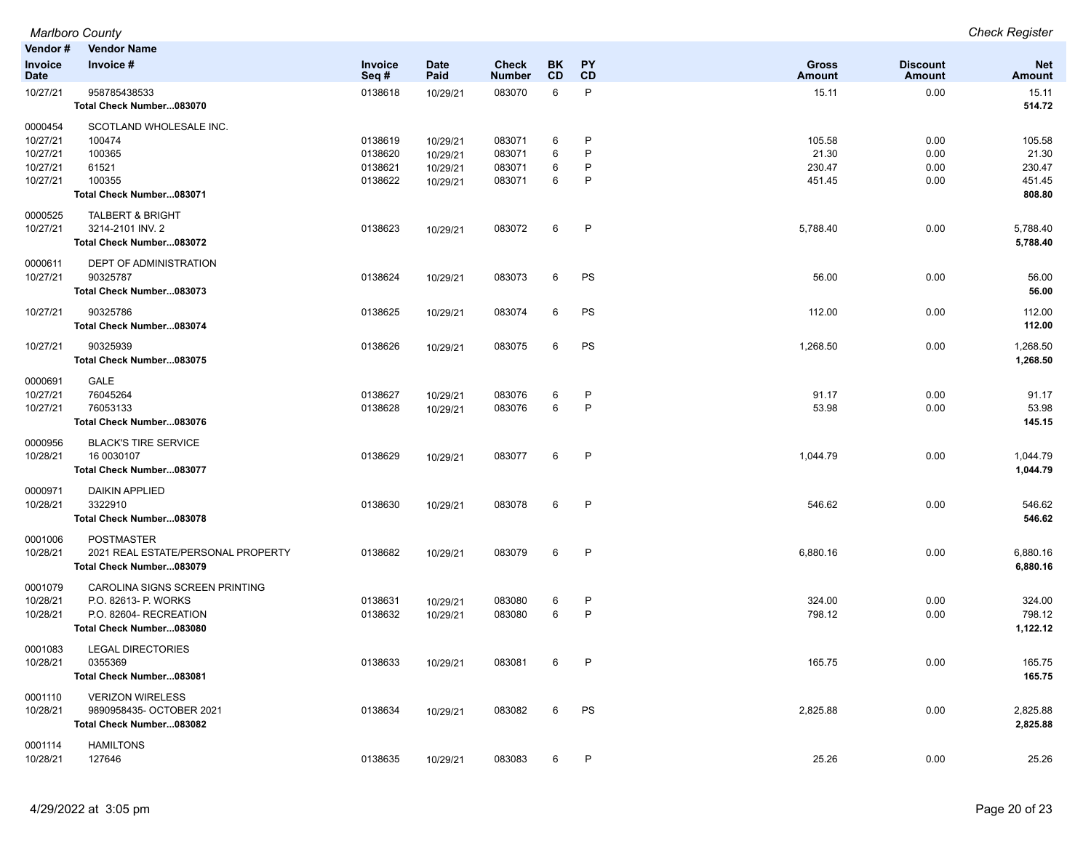| Vendor #               | Vendor Name                                                                         |                    |                     |                        |           |              |                        |                                  |                      |
|------------------------|-------------------------------------------------------------------------------------|--------------------|---------------------|------------------------|-----------|--------------|------------------------|----------------------------------|----------------------|
| Invoice<br><b>Date</b> | Invoice #                                                                           | Invoice<br>Seq#    | <b>Date</b><br>Paid | <b>Check</b><br>Number | BK.<br>CD | PY<br>CD     | <b>Gross</b><br>Amount | <b>Discount</b><br><b>Amount</b> | <b>Net</b><br>Amount |
| 10/27/21               | 958785438533<br>Total Check Number083070                                            | 0138618            | 10/29/21            | 083070                 | 6         | P            | 15.11                  | 0.00                             | 15.11<br>514.72      |
| 0000454<br>10/27/21    | SCOTLAND WHOLESALE INC.<br>100474                                                   | 0138619            | 10/29/21            | 083071                 | 6         | P            | 105.58                 | 0.00                             | 105.58               |
| 10/27/21               | 100365                                                                              | 0138620            | 10/29/21            | 083071                 | 6         | P            | 21.30                  | 0.00                             | 21.30                |
| 10/27/21<br>10/27/21   | 61521<br>100355                                                                     | 0138621<br>0138622 | 10/29/21            | 083071<br>083071       | 6<br>6    | P<br>P       | 230.47<br>451.45       | 0.00                             | 230.47<br>451.45     |
|                        | Total Check Number083071                                                            |                    | 10/29/21            |                        |           |              |                        | 0.00                             | 808.80               |
| 0000525<br>10/27/21    | <b>TALBERT &amp; BRIGHT</b><br>3214-2101 INV. 2<br>Total Check Number083072         | 0138623            | 10/29/21            | 083072                 | 6         | P            | 5,788.40               | 0.00                             | 5,788.40<br>5,788.40 |
| 0000611<br>10/27/21    | <b>DEPT OF ADMINISTRATION</b><br>90325787<br>Total Check Number083073               | 0138624            | 10/29/21            | 083073                 | 6         | PS           | 56.00                  | 0.00                             | 56.00<br>56.00       |
| 10/27/21               | 90325786<br>Total Check Number083074                                                | 0138625            | 10/29/21            | 083074                 | 6         | PS           | 112.00                 | 0.00                             | 112.00<br>112.00     |
| 10/27/21               | 90325939<br>Total Check Number083075                                                | 0138626            | 10/29/21            | 083075                 | 6         | PS           | 1,268.50               | 0.00                             | 1,268.50<br>1,268.50 |
| 0000691                | GALE                                                                                |                    |                     |                        |           |              |                        |                                  |                      |
| 10/27/21               | 76045264                                                                            | 0138627            | 10/29/21            | 083076                 | 6         | P            | 91.17                  | 0.00                             | 91.17                |
| 10/27/21               | 76053133<br>Total Check Number083076                                                | 0138628            | 10/29/21            | 083076                 | 6         | P            | 53.98                  | 0.00                             | 53.98<br>145.15      |
| 0000956<br>10/28/21    | <b>BLACK'S TIRE SERVICE</b><br>16 0030107<br>Total Check Number083077               | 0138629            | 10/29/21            | 083077                 | 6         | P            | 1,044.79               | 0.00                             | 1,044.79<br>1,044.79 |
| 0000971<br>10/28/21    | <b>DAIKIN APPLIED</b><br>3322910<br>Total Check Number083078                        | 0138630            | 10/29/21            | 083078                 | 6         | $\mathsf{P}$ | 546.62                 | 0.00                             | 546.62<br>546.62     |
| 0001006<br>10/28/21    | <b>POSTMASTER</b><br>2021 REAL ESTATE/PERSONAL PROPERTY<br>Total Check Number083079 | 0138682            | 10/29/21            | 083079                 | 6         | P            | 6,880.16               | 0.00                             | 6,880.16<br>6,880.16 |
| 0001079<br>10/28/21    | CAROLINA SIGNS SCREEN PRINTING<br>P.O. 82613- P. WORKS                              | 0138631            | 10/29/21            | 083080                 | 6         | P            | 324.00                 | 0.00                             | 324.00               |
| 10/28/21               | P.O. 82604- RECREATION                                                              | 0138632            | 10/29/21            | 083080                 | 6         | P            | 798.12                 | 0.00                             | 798.12               |
|                        | Total Check Number083080                                                            |                    |                     |                        |           |              |                        |                                  | 1,122.12             |
| 0001083<br>10/28/21    | <b>LEGAL DIRECTORIES</b><br>0355369<br>Total Check Number083081                     | 0138633            | 10/29/21            | 083081                 |           |              | 165.75                 | 0.00                             | 165.75<br>165.75     |
| 0001110<br>10/28/21    | <b>VERIZON WIRELESS</b><br>9890958435- OCTOBER 2021<br>Total Check Number083082     | 0138634            | 10/29/21            | 083082                 | 6         | <b>PS</b>    | 2,825.88               | 0.00                             | 2,825.88<br>2,825.88 |
| 0001114<br>10/28/21    | <b>HAMILTONS</b><br>127646                                                          | 0138635            | 10/29/21            | 083083                 | 6         | P            | 25.26                  | 0.00                             | 25.26                |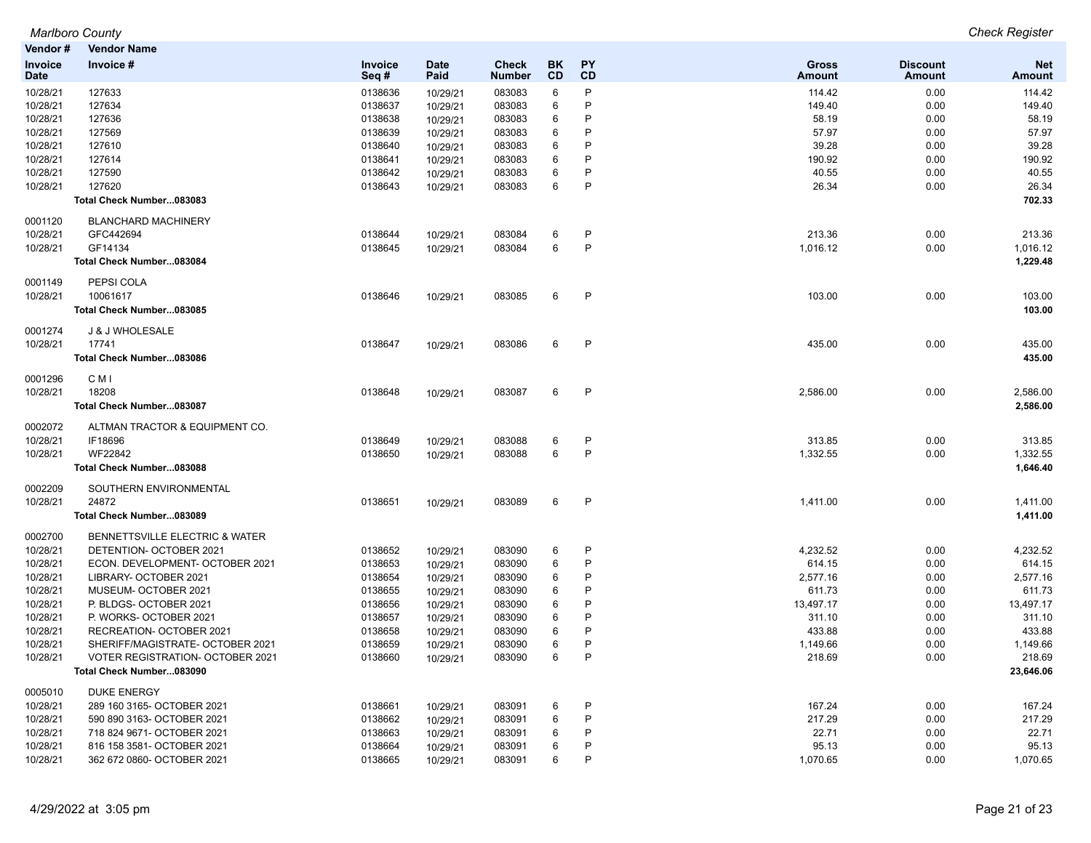|                | <b>Marlboro County</b>           |         |          |               |           |              |               |                 | <b>Check Register</b> |
|----------------|----------------------------------|---------|----------|---------------|-----------|--------------|---------------|-----------------|-----------------------|
| Vendor#        | <b>Vendor Name</b>               |         |          |               |           |              |               |                 |                       |
| <b>Invoice</b> | Invoice #                        | Invoice | Date     | <b>Check</b>  | <b>BK</b> | PY           | <b>Gross</b>  | <b>Discount</b> | <b>Net</b>            |
| <b>Date</b>    |                                  | Seq#    | Paid     | <b>Number</b> | CD        | <b>CD</b>    | <b>Amount</b> | Amount          | <b>Amount</b>         |
| 10/28/21       | 127633                           | 0138636 | 10/29/21 | 083083        | 6         | P            | 114.42        | 0.00            | 114.42                |
| 10/28/21       | 127634                           | 0138637 | 10/29/21 | 083083        | 6         | P            | 149.40        | 0.00            | 149.40                |
| 10/28/21       | 127636                           | 0138638 | 10/29/21 | 083083        | 6         | P            | 58.19         | 0.00            | 58.19                 |
| 10/28/21       | 127569                           | 0138639 | 10/29/21 | 083083        | 6         | P            | 57.97         | 0.00            | 57.97                 |
| 10/28/21       | 127610                           | 0138640 | 10/29/21 | 083083        | 6         | P            | 39.28         | 0.00            | 39.28                 |
| 10/28/21       | 127614                           | 0138641 | 10/29/21 | 083083        | 6         | P            | 190.92        | 0.00            | 190.92                |
| 10/28/21       | 127590                           | 0138642 | 10/29/21 | 083083        | 6         | P            | 40.55         | 0.00            | 40.55                 |
| 10/28/21       | 127620                           | 0138643 | 10/29/21 | 083083        | 6         | P            | 26.34         | 0.00            | 26.34                 |
|                | Total Check Number083083         |         |          |               |           |              |               |                 | 702.33                |
| 0001120        | <b>BLANCHARD MACHINERY</b>       |         |          |               |           |              |               |                 |                       |
| 10/28/21       | GFC442694                        | 0138644 | 10/29/21 | 083084        | 6         | P            | 213.36        | 0.00            | 213.36                |
| 10/28/21       | GF14134                          | 0138645 | 10/29/21 | 083084        | 6         | P            | 1,016.12      | 0.00            | 1,016.12              |
|                | Total Check Number083084         |         |          |               |           |              |               |                 | 1,229.48              |
|                |                                  |         |          |               |           |              |               |                 |                       |
| 0001149        | PEPSI COLA                       |         |          |               |           |              |               |                 |                       |
| 10/28/21       | 10061617                         | 0138646 | 10/29/21 | 083085        | 6         | P            | 103.00        | 0.00            | 103.00                |
|                | Total Check Number083085         |         |          |               |           |              |               |                 | 103.00                |
| 0001274        | J & J WHOLESALE                  |         |          |               |           |              |               |                 |                       |
| 10/28/21       | 17741                            | 0138647 | 10/29/21 | 083086        | 6         | P            | 435.00        | 0.00            | 435.00                |
|                | Total Check Number083086         |         |          |               |           |              |               |                 | 435.00                |
|                |                                  |         |          |               |           |              |               |                 |                       |
| 0001296        | C M I                            |         |          |               |           |              |               |                 |                       |
| 10/28/21       | 18208                            | 0138648 | 10/29/21 | 083087        | 6         | $\mathsf{P}$ | 2,586.00      | 0.00            | 2,586.00              |
|                | Total Check Number083087         |         |          |               |           |              |               |                 | 2,586.00              |
| 0002072        | ALTMAN TRACTOR & EQUIPMENT CO.   |         |          |               |           |              |               |                 |                       |
| 10/28/21       | IF18696                          | 0138649 | 10/29/21 | 083088        | 6         | P            | 313.85        | 0.00            | 313.85                |
| 10/28/21       | WF22842                          | 0138650 | 10/29/21 | 083088        | 6         | P            | 1,332.55      | 0.00            | 1,332.55              |
|                | Total Check Number083088         |         |          |               |           |              |               |                 | 1,646.40              |
|                |                                  |         |          |               |           |              |               |                 |                       |
| 0002209        | SOUTHERN ENVIRONMENTAL           |         |          |               |           |              |               |                 |                       |
| 10/28/21       | 24872                            | 0138651 | 10/29/21 | 083089        | 6         | $\mathsf{P}$ | 1,411.00      | 0.00            | 1,411.00              |
|                | Total Check Number083089         |         |          |               |           |              |               |                 | 1,411.00              |
| 0002700        | BENNETTSVILLE ELECTRIC & WATER   |         |          |               |           |              |               |                 |                       |
| 10/28/21       | DETENTION- OCTOBER 2021          | 0138652 | 10/29/21 | 083090        | 6         | P            | 4,232.52      | 0.00            | 4,232.52              |
| 10/28/21       | ECON. DEVELOPMENT- OCTOBER 2021  | 0138653 | 10/29/21 | 083090        | 6         | P            | 614.15        | 0.00            | 614.15                |
| 10/28/21       | LIBRARY- OCTOBER 2021            | 0138654 | 10/29/21 | 083090        | 6         | P            | 2,577.16      | 0.00            | 2,577.16              |
| 10/28/21       | MUSEUM- OCTOBER 2021             | 0138655 | 10/29/21 | 083090        | 6         | P            | 611.73        | 0.00            | 611.73                |
| 10/28/21       | P. BLDGS- OCTOBER 2021           | 0138656 | 10/29/21 | 083090        | 6         | P            | 13,497.17     | 0.00            | 13,497.17             |
| 10/28/21       | P. WORKS- OCTOBER 2021           | 0138657 | 10/29/21 | 083090        | 6         | P            | 311.10        | 0.00            | 311.10                |
| 10/28/21       | RECREATION- OCTOBER 2021         | 0138658 | 10/29/21 | 083090        | 6         | P            | 433.88        | 0.00            | 433.88                |
| 10/28/21       | SHERIFF/MAGISTRATE- OCTOBER 2021 | 0138659 | 10/29/21 | 083090        | ĥ         | D            | 1,149.66      | 0.00            | 1,149.66              |
| 10/28/21       | VOTER REGISTRATION- OCTOBER 2021 | 0138660 | 10/29/21 | 083090        | 6         | P            | 218.69        | 0.00            | 218.69                |
|                | Total Check Number083090         |         |          |               |           |              |               |                 | 23,646.06             |
| 0005010        | <b>DUKE ENERGY</b>               |         |          |               |           |              |               |                 |                       |
| 10/28/21       | 289 160 3165- OCTOBER 2021       | 0138661 | 10/29/21 | 083091        | 6         | P            | 167.24        | 0.00            | 167.24                |
| 10/28/21       | 590 890 3163- OCTOBER 2021       | 0138662 | 10/29/21 | 083091        | 6         | P            | 217.29        | 0.00            | 217.29                |
| 10/28/21       | 718 824 9671- OCTOBER 2021       | 0138663 | 10/29/21 | 083091        | 6         | P            | 22.71         | 0.00            | 22.71                 |
| 10/28/21       | 816 158 3581- OCTOBER 2021       | 0138664 | 10/29/21 | 083091        | 6         | P            | 95.13         | 0.00            | 95.13                 |
| 10/28/21       | 362 672 0860- OCTOBER 2021       | 0138665 | 10/29/21 | 083091        | 6         | P            | 1,070.65      | 0.00            | 1,070.65              |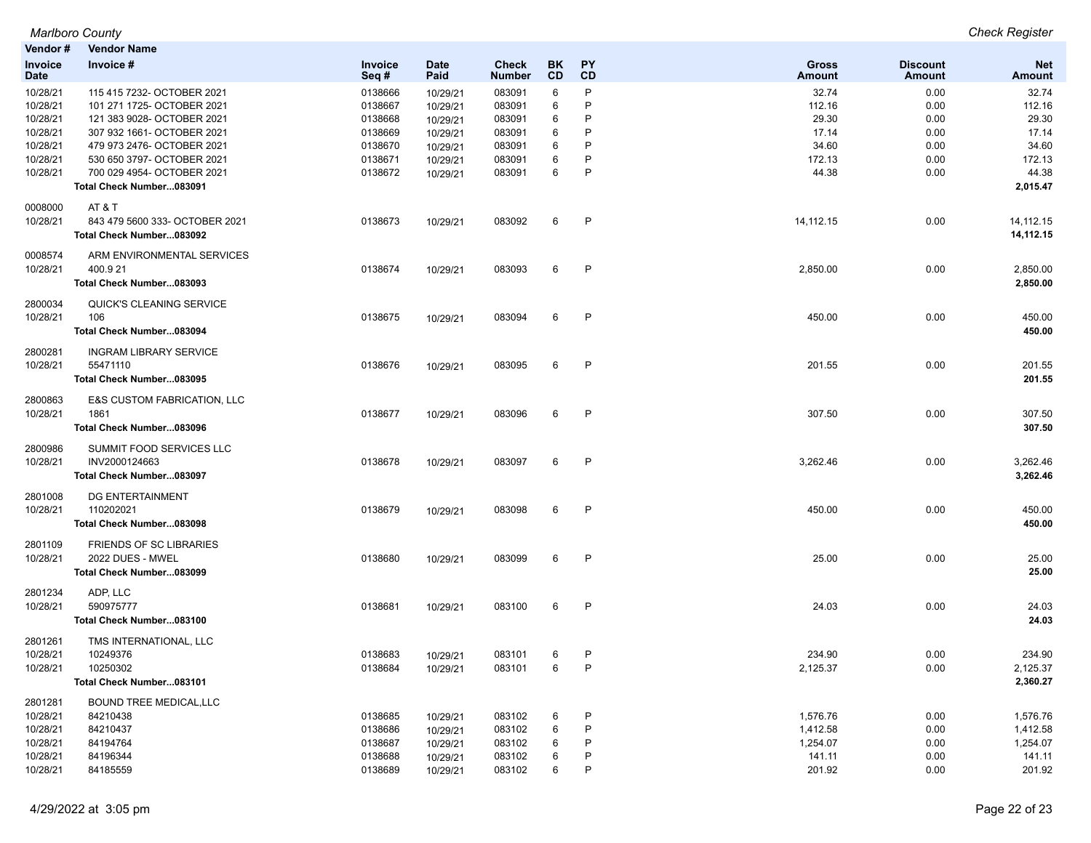| Vendor #                      | <b>Vendor Name</b>                     |                        |                     |                        |                 |              |                        |                           |                      |
|-------------------------------|----------------------------------------|------------------------|---------------------|------------------------|-----------------|--------------|------------------------|---------------------------|----------------------|
| <b>Invoice</b><br><b>Date</b> | Invoice #                              | <b>Invoice</b><br>Seq# | <b>Date</b><br>Paid | Check<br><b>Number</b> | <b>BK</b><br>CD | PΥ<br>CD     | <b>Gross</b><br>Amount | <b>Discount</b><br>Amount | <b>Net</b><br>Amount |
| 10/28/21                      | 115 415 7232- OCTOBER 2021             | 0138666                | 10/29/21            | 083091                 | 6               | P            | 32.74                  | 0.00                      | 32.74                |
| 10/28/21                      | 101 271 1725- OCTOBER 2021             | 0138667                | 10/29/21            | 083091                 | 6               | P            | 112.16                 | 0.00                      | 112.16               |
| 10/28/21                      | 121 383 9028- OCTOBER 2021             | 0138668                | 10/29/21            | 083091                 | 6               | P            | 29.30                  | 0.00                      | 29.30                |
| 10/28/21                      | 307 932 1661- OCTOBER 2021             | 0138669                | 10/29/21            | 083091                 | 6               | P            | 17.14                  | 0.00                      | 17.14                |
| 10/28/21                      | 479 973 2476- OCTOBER 2021             | 0138670                | 10/29/21            | 083091                 | 6               | P            | 34.60                  | 0.00                      | 34.60                |
| 10/28/21                      | 530 650 3797- OCTOBER 2021             | 0138671                | 10/29/21            | 083091                 | 6               | P            | 172.13                 | 0.00                      | 172.13               |
| 10/28/21                      | 700 029 4954- OCTOBER 2021             | 0138672                | 10/29/21            | 083091                 | 6               | P            | 44.38                  | 0.00                      | 44.38                |
|                               | Total Check Number083091               |                        |                     |                        |                 |              |                        |                           | 2,015.47             |
| 0008000                       | <b>AT &amp; T</b>                      |                        |                     |                        |                 |              |                        |                           |                      |
| 10/28/21                      | 843 479 5600 333- OCTOBER 2021         | 0138673                | 10/29/21            | 083092                 | 6               | P            | 14, 112. 15            | 0.00                      | 14, 112. 15          |
|                               | Total Check Number083092               |                        |                     |                        |                 |              |                        |                           | 14,112.15            |
| 0008574                       | ARM ENVIRONMENTAL SERVICES             |                        |                     |                        |                 |              |                        |                           |                      |
| 10/28/21                      | 400.921                                | 0138674                | 10/29/21            | 083093                 | 6               | P            | 2,850.00               | 0.00                      | 2,850.00             |
|                               | Total Check Number083093               |                        |                     |                        |                 |              |                        |                           | 2,850.00             |
| 2800034                       | QUICK'S CLEANING SERVICE               |                        |                     |                        |                 |              |                        |                           |                      |
| 10/28/21                      | 106                                    | 0138675                | 10/29/21            | 083094                 | 6               | P            | 450.00                 | 0.00                      | 450.00               |
|                               | Total Check Number083094               |                        |                     |                        |                 |              |                        |                           | 450.00               |
| 2800281                       | <b>INGRAM LIBRARY SERVICE</b>          |                        |                     |                        |                 |              |                        |                           |                      |
| 10/28/21                      | 55471110                               | 0138676                | 10/29/21            | 083095                 | 6               | P            | 201.55                 | 0.00                      | 201.55               |
|                               | Total Check Number083095               |                        |                     |                        |                 |              |                        |                           | 201.55               |
| 2800863                       | <b>E&amp;S CUSTOM FABRICATION, LLC</b> |                        |                     |                        |                 |              |                        |                           |                      |
| 10/28/21                      | 1861                                   | 0138677                | 10/29/21            | 083096                 | 6               | $\mathsf{P}$ | 307.50                 | 0.00                      | 307.50               |
|                               | Total Check Number083096               |                        |                     |                        |                 |              |                        |                           | 307.50               |
| 2800986                       | SUMMIT FOOD SERVICES LLC               |                        |                     |                        |                 |              |                        |                           |                      |
| 10/28/21                      | INV2000124663                          | 0138678                | 10/29/21            | 083097                 | 6               | $\mathsf{P}$ | 3,262.46               | 0.00                      | 3,262.46             |
|                               | Total Check Number083097               |                        |                     |                        |                 |              |                        |                           | 3,262.46             |
| 2801008                       | DG ENTERTAINMENT                       |                        |                     |                        |                 |              |                        |                           |                      |
| 10/28/21                      | 110202021                              | 0138679                | 10/29/21            | 083098                 | 6               | P            | 450.00                 | 0.00                      | 450.00               |
|                               | Total Check Number083098               |                        |                     |                        |                 |              |                        |                           | 450.00               |
| 2801109                       | <b>FRIENDS OF SC LIBRARIES</b>         |                        |                     |                        |                 |              |                        |                           |                      |
| 10/28/21                      | 2022 DUES - MWEL                       | 0138680                | 10/29/21            | 083099                 | 6               | P            | 25.00                  | 0.00                      | 25.00                |
|                               | Total Check Number083099               |                        |                     |                        |                 |              |                        |                           | 25.00                |
| 2801234                       | ADP, LLC                               |                        |                     |                        |                 |              |                        |                           |                      |
| 10/28/21                      | 590975777                              | 0138681                | 10/29/21            | 083100                 | 6               | P            | 24.03                  | 0.00                      | 24.03                |
|                               | Total Check Number083100               |                        |                     |                        |                 |              |                        |                           | 24.03                |
| 2801261                       | TMS INTERNATIONAL, LLC                 |                        |                     |                        |                 |              |                        |                           |                      |
| 10/28/21                      | 10249376                               | 0138683                | 10/29/21            | 083101                 | 6               | P            | 234.90                 | 0.00                      | 234.90               |
| 10/28/21                      | 10250302                               | 0138684                | 10/29/21            | 083101                 | 6               | P            | 2,125.37               | 0.00                      | 2,125.37             |
|                               | Total Check Number083101               |                        |                     |                        |                 |              |                        |                           | 2,360.27             |
| 2801281                       | <b>BOUND TREE MEDICAL, LLC</b>         |                        |                     |                        |                 |              |                        |                           |                      |
| 10/28/21                      | 84210438                               | 0138685                | 10/29/21            | 083102                 | 6               | P            | 1,576.76               | 0.00                      | 1,576.76             |
| 10/28/21                      | 84210437                               | 0138686                | 10/29/21            | 083102                 | 6               | P            | 1,412.58               | 0.00                      | 1,412.58             |
| 10/28/21                      | 84194764                               | 0138687                | 10/29/21            | 083102                 | 6               | P            | 1,254.07               | 0.00                      | 1,254.07             |
| 10/28/21                      | 84196344                               | 0138688                | 10/29/21            | 083102                 | 6               | P            | 141.11                 | 0.00                      | 141.11               |
| 10/28/21                      | 84185559                               | 0138689                | 10/29/21            | 083102                 | 6               | P            | 201.92                 | 0.00                      | 201.92               |